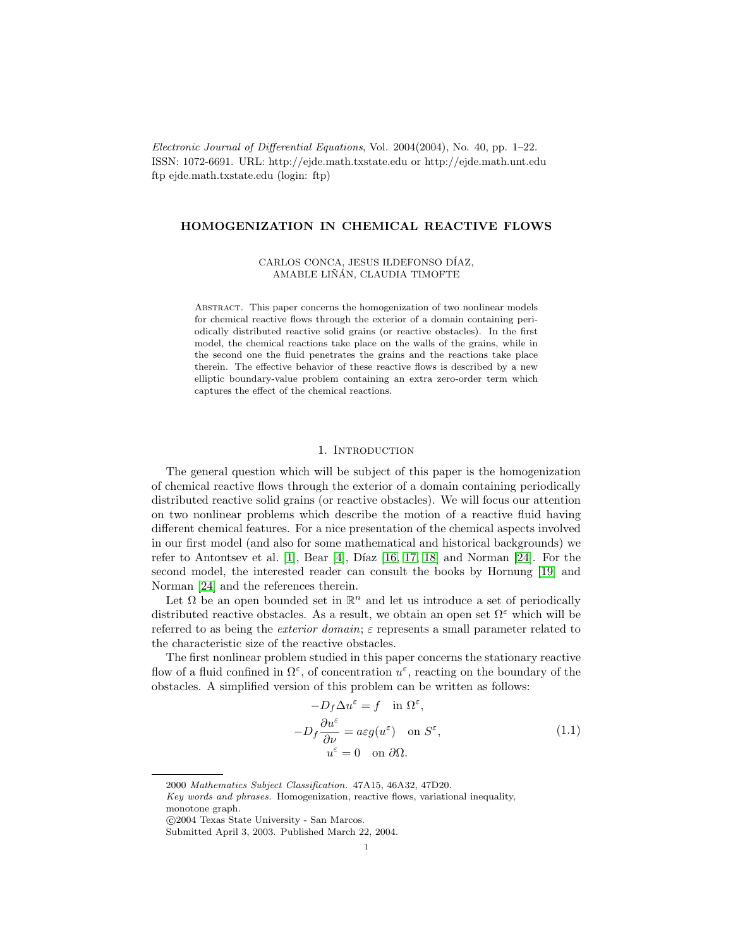Electronic Journal of Differential Equations, Vol. 2004(2004), No. 40, pp. 1–22. ISSN: 1072-6691. URL: http://ejde.math.txstate.edu or http://ejde.math.unt.edu ftp ejde.math.txstate.edu (login: ftp)

# HOMOGENIZATION IN CHEMICAL REACTIVE FLOWS

## CARLOS CONCA, JESUS ILDEFONSO DÍAZ, AMABLE LIÑÁN, CLAUDIA TIMOFTE

Abstract. This paper concerns the homogenization of two nonlinear models for chemical reactive flows through the exterior of a domain containing periodically distributed reactive solid grains (or reactive obstacles). In the first model, the chemical reactions take place on the walls of the grains, while in the second one the fluid penetrates the grains and the reactions take place therein. The effective behavior of these reactive flows is described by a new elliptic boundary-value problem containing an extra zero-order term which captures the effect of the chemical reactions.

#### 1. Introduction

The general question which will be subject of this paper is the homogenization of chemical reactive flows through the exterior of a domain containing periodically distributed reactive solid grains (or reactive obstacles). We will focus our attention on two nonlinear problems which describe the motion of a reactive fluid having different chemical features. For a nice presentation of the chemical aspects involved in our first model (and also for some mathematical and historical backgrounds) we refer to Antontsev et al. [\[1\]](#page-19-0), Bear [\[4\]](#page-19-1), Díaz [\[16,](#page-20-0) [17,](#page-20-1) [18\]](#page-20-2) and Norman [\[24\]](#page-20-3). For the second model, the interested reader can consult the books by Hornung [\[19\]](#page-20-4) and Norman [\[24\]](#page-20-3) and the references therein.

Let  $\Omega$  be an open bounded set in  $\mathbb{R}^n$  and let us introduce a set of periodically distributed reactive obstacles. As a result, we obtain an open set  $\Omega^{\varepsilon}$  which will be referred to as being the *exterior domain*;  $\varepsilon$  represents a small parameter related to the characteristic size of the reactive obstacles.

The first nonlinear problem studied in this paper concerns the stationary reactive flow of a fluid confined in  $\Omega^{\varepsilon}$ , of concentration  $u^{\varepsilon}$ , reacting on the boundary of the obstacles. A simplified version of this problem can be written as follows:

$$
-D_f \Delta u^{\varepsilon} = f \quad \text{in } \Omega^{\varepsilon},
$$
  

$$
-D_f \frac{\partial u^{\varepsilon}}{\partial \nu} = a\varepsilon g(u^{\varepsilon}) \quad \text{on } S^{\varepsilon},
$$
  

$$
u^{\varepsilon} = 0 \quad \text{on } \partial \Omega.
$$
 (1.1)

<sup>2000</sup> Mathematics Subject Classification. 47A15, 46A32, 47D20.

Key words and phrases. Homogenization, reactive flows, variational inequality, monotone graph.

c 2004 Texas State University - San Marcos.

Submitted April 3, 2003. Published March 22, 2004.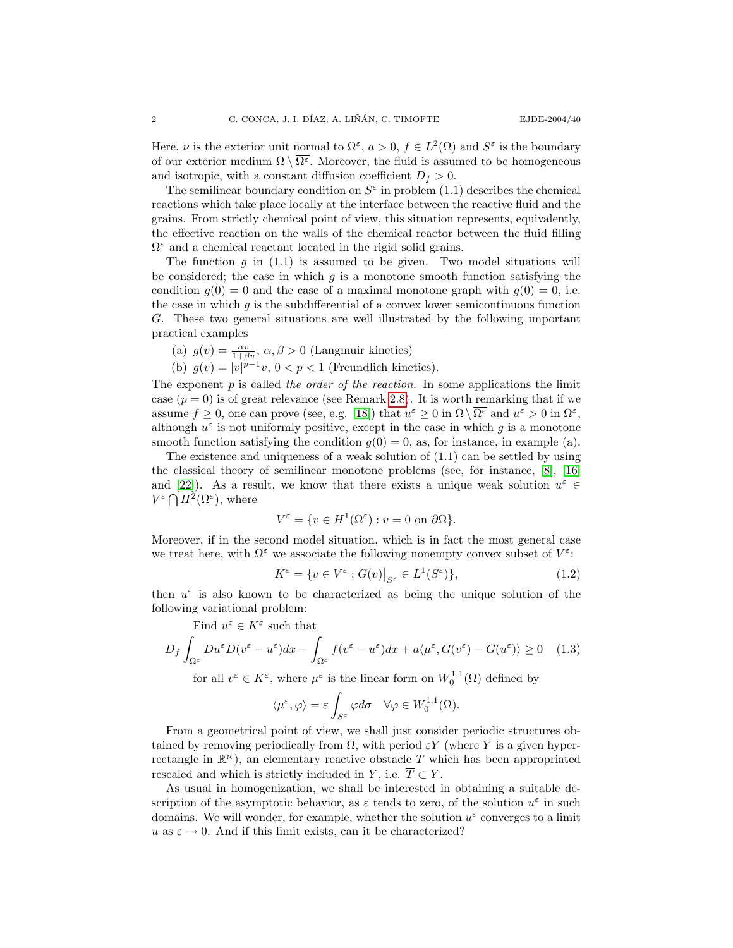Here,  $\nu$  is the exterior unit normal to  $\Omega^{\varepsilon}$ ,  $a > 0$ ,  $f \in L^2(\Omega)$  and  $S^{\varepsilon}$  is the boundary of our exterior medium  $\Omega \setminus \overline{\Omega^{\varepsilon}}$ . Moreover, the fluid is assumed to be homogeneous and isotropic, with a constant diffusion coefficient  $D_f > 0$ .

The semilinear boundary condition on  $S^{\varepsilon}$  in problem (1.1) describes the chemical reactions which take place locally at the interface between the reactive fluid and the grains. From strictly chemical point of view, this situation represents, equivalently, the effective reaction on the walls of the chemical reactor between the fluid filling  $\Omega^{\varepsilon}$  and a chemical reactant located in the rigid solid grains.

The function q in  $(1.1)$  is assumed to be given. Two model situations will be considered; the case in which  $g$  is a monotone smooth function satisfying the condition  $g(0) = 0$  and the case of a maximal monotone graph with  $g(0) = 0$ , i.e. the case in which  $q$  is the subdifferential of a convex lower semicontinuous function G. These two general situations are well illustrated by the following important practical examples

- (a)  $g(v) = \frac{\alpha v}{1 + \beta v}, \alpha, \beta > 0$  (Langmuir kinetics)
- (b)  $g(v) = |v|^{p-1}v$ ,  $0 < p < 1$  (Freundlich kinetics).

The exponent  $p$  is called the order of the reaction. In some applications the limit case  $(p = 0)$  is of great relevance (see Remark [2.8\)](#page-13-0). It is worth remarking that if we assume  $f \geq 0$ , one can prove (see, e.g. [\[18\]](#page-20-2)) that  $u^{\varepsilon} \geq 0$  in  $\Omega \setminus \overline{\Omega^{\varepsilon}}$  and  $u^{\varepsilon} > 0$  in  $\Omega^{\varepsilon}$ , although  $u^{\varepsilon}$  is not uniformly positive, except in the case in which g is a monotone smooth function satisfying the condition  $g(0) = 0$ , as, for instance, in example (a).

The existence and uniqueness of a weak solution of (1.1) can be settled by using the classical theory of semilinear monotone problems (see, for instance, [\[8\]](#page-20-5), [\[16\]](#page-20-0) and [\[22\]](#page-20-6)). As a result, we know that there exists a unique weak solution  $u^{\varepsilon} \in$  $V^{\varepsilon} \bigcap H^2(\Omega^{\varepsilon})$ , where

$$
V^{\varepsilon} = \{ v \in H^1(\Omega^{\varepsilon}) : v = 0 \text{ on } \partial\Omega \}.
$$

Moreover, if in the second model situation, which is in fact the most general case we treat here, with  $\Omega^{\varepsilon}$  we associate the following nonempty convex subset of  $V^{\varepsilon}$ :

$$
K^{\varepsilon} = \{ v \in V^{\varepsilon} : G(v)|_{S^{\varepsilon}} \in L^{1}(S^{\varepsilon}) \},
$$
\n(1.2)

then  $u^{\varepsilon}$  is also known to be characterized as being the unique solution of the following variational problem:

Find  $u^{\varepsilon} \in K^{\varepsilon}$  such that

$$
D_f \int_{\Omega^{\varepsilon}} Du^{\varepsilon} D(v^{\varepsilon} - u^{\varepsilon}) dx - \int_{\Omega^{\varepsilon}} f(v^{\varepsilon} - u^{\varepsilon}) dx + a \langle \mu^{\varepsilon}, G(v^{\varepsilon}) - G(u^{\varepsilon}) \rangle \ge 0 \quad (1.3)
$$

for all  $v^{\varepsilon} \in K^{\varepsilon}$ , where  $\mu^{\varepsilon}$  is the linear form on  $W_0^{1,1}(\Omega)$  defined by

$$
\langle \mu^{\varepsilon}, \varphi \rangle = \varepsilon \int_{S^{\varepsilon}} \varphi d\sigma \quad \forall \varphi \in W_0^{1,1}(\Omega).
$$

From a geometrical point of view, we shall just consider periodic structures obtained by removing periodically from  $\Omega$ , with period  $\varepsilon Y$  (where Y is a given hyperrectangle in  $\mathbb{R}^{\kappa}$ ), an elementary reactive obstacle T which has been appropriated rescaled and which is strictly included in Y, i.e.  $\overline{T} \subset Y$ .

As usual in homogenization, we shall be interested in obtaining a suitable description of the asymptotic behavior, as  $\varepsilon$  tends to zero, of the solution  $u^{\varepsilon}$  in such domains. We will wonder, for example, whether the solution  $u^{\varepsilon}$  converges to a limit u as  $\varepsilon \to 0$ . And if this limit exists, can it be characterized?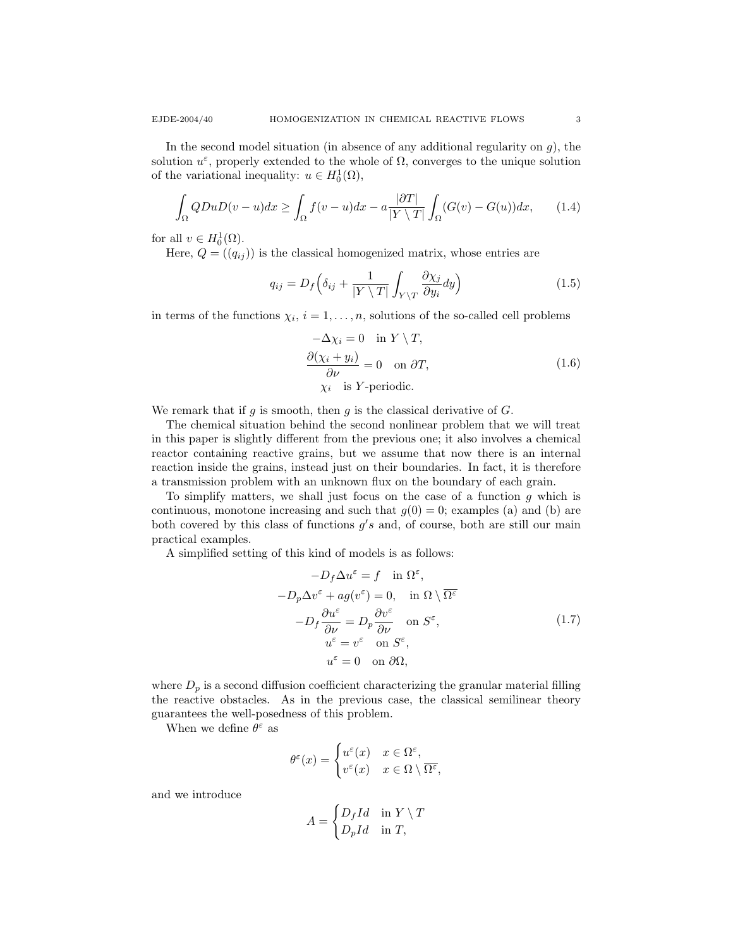In the second model situation (in absence of any additional regularity on  $g$ ), the solution  $u^{\varepsilon}$ , properly extended to the whole of  $\Omega$ , converges to the unique solution of the variational inequality:  $u \in H_0^1(\Omega)$ ,

$$
\int_{\Omega} QDuD(v-u)dx \ge \int_{\Omega} f(v-u)dx - a\frac{|\partial T|}{|Y \setminus T|} \int_{\Omega} (G(v) - G(u))dx, \qquad (1.4)
$$

for all  $v \in H_0^1(\Omega)$ .

Here,  $Q = (q_{ij})$  is the classical homogenized matrix, whose entries are

$$
q_{ij} = D_f \left( \delta_{ij} + \frac{1}{|Y \setminus T|} \int_{Y \setminus T} \frac{\partial \chi_j}{\partial y_i} dy \right) \tag{1.5}
$$

in terms of the functions  $\chi_i$ ,  $i = 1, \ldots, n$ , solutions of the so-called cell problems

$$
-\Delta \chi_i = 0 \quad \text{in } Y \setminus T,
$$
  
\n
$$
\frac{\partial (\chi_i + y_i)}{\partial \nu} = 0 \quad \text{on } \partial T,
$$
  
\n
$$
\chi_i \quad \text{is } Y\text{-periodic.}
$$
\n(1.6)

We remark that if g is smooth, then g is the classical derivative of  $G$ .

The chemical situation behind the second nonlinear problem that we will treat in this paper is slightly different from the previous one; it also involves a chemical reactor containing reactive grains, but we assume that now there is an internal reaction inside the grains, instead just on their boundaries. In fact, it is therefore a transmission problem with an unknown flux on the boundary of each grain.

To simplify matters, we shall just focus on the case of a function  $q$  which is continuous, monotone increasing and such that  $g(0) = 0$ ; examples (a) and (b) are both covered by this class of functions  $g's$  and, of course, both are still our main practical examples.

A simplified setting of this kind of models is as follows:

$$
-D_f \Delta u^{\varepsilon} = f \quad \text{in } \Omega^{\varepsilon},
$$
  

$$
-D_p \Delta v^{\varepsilon} + ag(v^{\varepsilon}) = 0, \quad \text{in } \Omega \setminus \overline{\Omega^{\varepsilon}}
$$
  

$$
-D_f \frac{\partial u^{\varepsilon}}{\partial \nu} = D_p \frac{\partial v^{\varepsilon}}{\partial \nu} \quad \text{on } S^{\varepsilon},
$$
  

$$
u^{\varepsilon} = v^{\varepsilon} \quad \text{on } S^{\varepsilon},
$$
  

$$
u^{\varepsilon} = 0 \quad \text{on } \partial \Omega,
$$
  
(1.7)

where  $D_p$  is a second diffusion coefficient characterizing the granular material filling the reactive obstacles. As in the previous case, the classical semilinear theory guarantees the well-posedness of this problem.

When we define  $\theta^\varepsilon$  as

$$
\theta^{\varepsilon}(x) = \begin{cases} u^{\varepsilon}(x) & x \in \Omega^{\varepsilon}, \\ v^{\varepsilon}(x) & x \in \Omega \setminus \overline{\Omega^{\varepsilon}}, \end{cases}
$$

and we introduce

$$
A = \begin{cases} D_f I d & \text{in } Y \setminus T \\ D_p I d & \text{in } T, \end{cases}
$$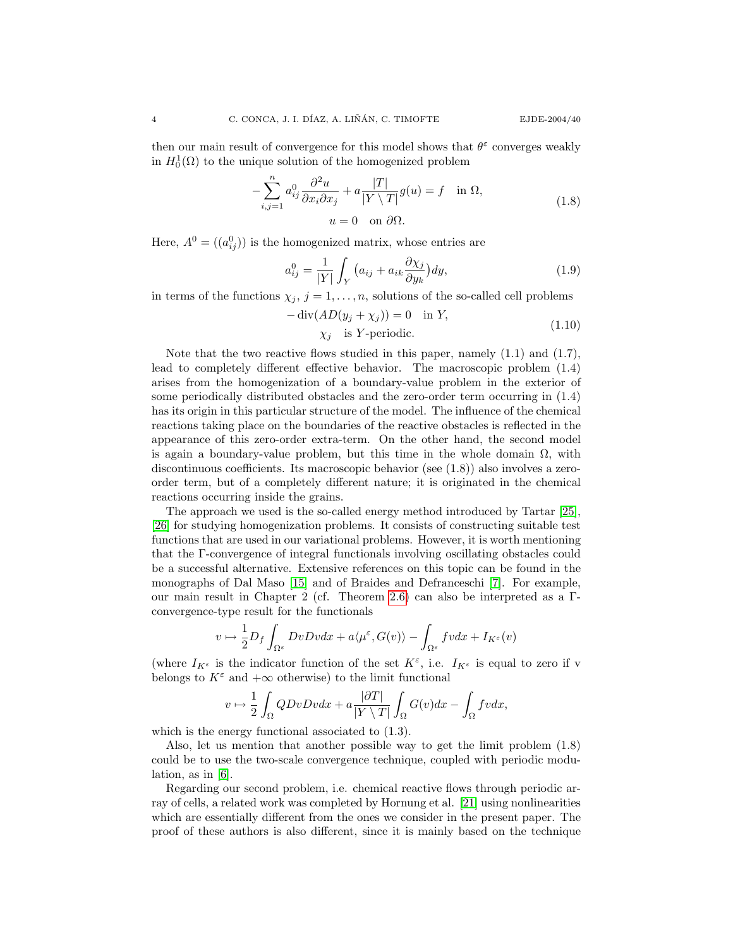then our main result of convergence for this model shows that  $\theta^{\varepsilon}$  converges weakly in  $H_0^1(\Omega)$  to the unique solution of the homogenized problem

$$
-\sum_{i,j=1}^{n} a_{ij}^{0} \frac{\partial^{2} u}{\partial x_{i} \partial x_{j}} + a \frac{|T|}{|Y \setminus T|} g(u) = f \quad \text{in } \Omega,
$$
  

$$
u = 0 \quad \text{on } \partial\Omega.
$$
 (1.8)

Here,  $A^0 = ((a_{ij}^0))$  is the homogenized matrix, whose entries are

$$
a_{ij}^0 = \frac{1}{|Y|} \int_Y \left( a_{ij} + a_{ik} \frac{\partial \chi_j}{\partial y_k} \right) dy,\tag{1.9}
$$

in terms of the functions  $\chi_j$ ,  $j = 1, \ldots, n$ , solutions of the so-called cell problems

$$
-\operatorname{div}(AD(y_j + \chi_j)) = 0 \quad \text{in } Y,
$$
  

$$
\chi_j \quad \text{is } Y\text{-periodic.}
$$
 (1.10)

Note that the two reactive flows studied in this paper, namely  $(1.1)$  and  $(1.7)$ , lead to completely different effective behavior. The macroscopic problem (1.4) arises from the homogenization of a boundary-value problem in the exterior of some periodically distributed obstacles and the zero-order term occurring in (1.4) has its origin in this particular structure of the model. The influence of the chemical reactions taking place on the boundaries of the reactive obstacles is reflected in the appearance of this zero-order extra-term. On the other hand, the second model is again a boundary-value problem, but this time in the whole domain  $\Omega$ , with discontinuous coefficients. Its macroscopic behavior (see (1.8)) also involves a zeroorder term, but of a completely different nature; it is originated in the chemical reactions occurring inside the grains.

The approach we used is the so-called energy method introduced by Tartar [\[25\]](#page-20-7), [\[26\]](#page-20-8) for studying homogenization problems. It consists of constructing suitable test functions that are used in our variational problems. However, it is worth mentioning that the Γ-convergence of integral functionals involving oscillating obstacles could be a successful alternative. Extensive references on this topic can be found in the monographs of Dal Maso [\[15\]](#page-20-9) and of Braides and Defranceschi [\[7\]](#page-20-10). For example, our main result in Chapter 2 (cf. Theorem [2.6\)](#page-11-0) can also be interpreted as a Γconvergence-type result for the functionals

$$
v\mapsto \frac{1}{2}D_f\int_{\Omega^\varepsilon}DvDvdx+a\langle\mu^\varepsilon,G(v)\rangle-\int_{\Omega^\varepsilon}fvdx+I_{K^\varepsilon}(v)
$$

(where  $I_{K^{\varepsilon}}$  is the indicator function of the set  $K^{\varepsilon}$ , i.e.  $I_{K^{\varepsilon}}$  is equal to zero if v belongs to  $K^{\varepsilon}$  and  $+\infty$  otherwise) to the limit functional

$$
v \mapsto \frac{1}{2} \int_{\Omega} QDvDvdx + a \frac{|\partial T|}{|Y \setminus T|} \int_{\Omega} G(v)dx - \int_{\Omega} fvdx,
$$

which is the energy functional associated to  $(1.3)$ .

Also, let us mention that another possible way to get the limit problem (1.8) could be to use the two-scale convergence technique, coupled with periodic modulation, as in [\[6\]](#page-19-2).

Regarding our second problem, i.e. chemical reactive flows through periodic array of cells, a related work was completed by Hornung et al. [\[21\]](#page-20-11) using nonlinearities which are essentially different from the ones we consider in the present paper. The proof of these authors is also different, since it is mainly based on the technique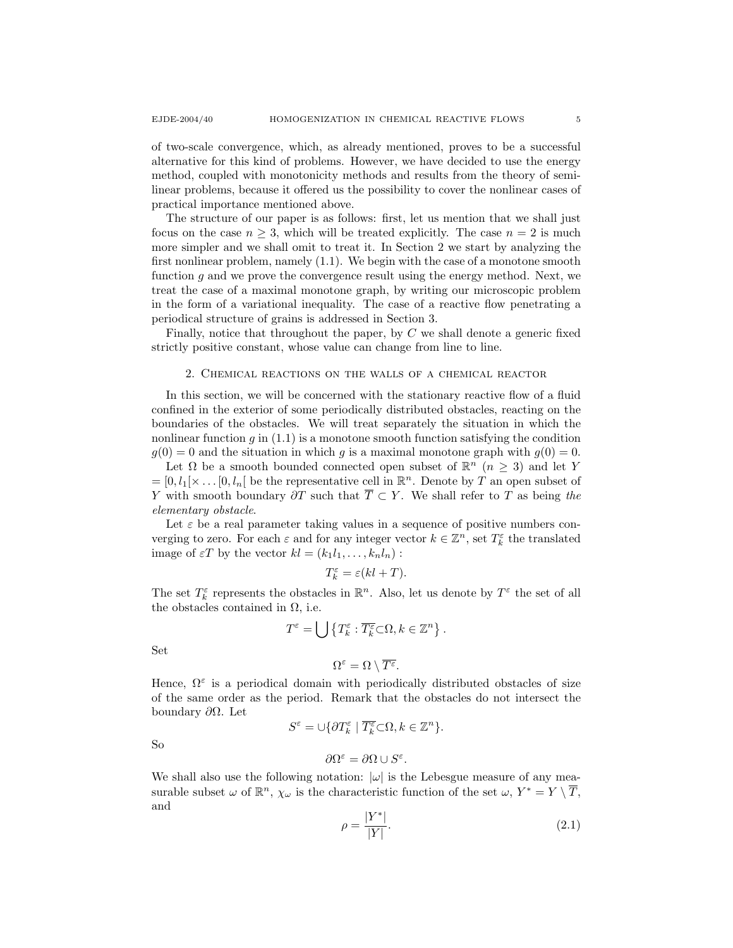of two-scale convergence, which, as already mentioned, proves to be a successful alternative for this kind of problems. However, we have decided to use the energy method, coupled with monotonicity methods and results from the theory of semilinear problems, because it offered us the possibility to cover the nonlinear cases of practical importance mentioned above.

The structure of our paper is as follows: first, let us mention that we shall just focus on the case  $n \geq 3$ , which will be treated explicitly. The case  $n = 2$  is much more simpler and we shall omit to treat it. In Section 2 we start by analyzing the first nonlinear problem, namely (1.1). We begin with the case of a monotone smooth function  $g$  and we prove the convergence result using the energy method. Next, we treat the case of a maximal monotone graph, by writing our microscopic problem in the form of a variational inequality. The case of a reactive flow penetrating a periodical structure of grains is addressed in Section 3.

Finally, notice that throughout the paper, by  $C$  we shall denote a generic fixed strictly positive constant, whose value can change from line to line.

## 2. Chemical reactions on the walls of a chemical reactor

In this section, we will be concerned with the stationary reactive flow of a fluid confined in the exterior of some periodically distributed obstacles, reacting on the boundaries of the obstacles. We will treat separately the situation in which the nonlinear function  $g$  in  $(1.1)$  is a monotone smooth function satisfying the condition  $g(0) = 0$  and the situation in which g is a maximal monotone graph with  $g(0) = 0$ .

Let  $\Omega$  be a smooth bounded connected open subset of  $\mathbb{R}^n$   $(n \geq 3)$  and let Y  $=[0, l_1[\times \dots [0, l_n])$  be the representative cell in  $\mathbb{R}^n$ . Denote by T an open subset of Y with smooth boundary  $\partial T$  such that  $\overline{T} \subset Y$ . We shall refer to T as being the elementary obstacle.

Let  $\varepsilon$  be a real parameter taking values in a sequence of positive numbers converging to zero. For each  $\varepsilon$  and for any integer vector  $k \in \mathbb{Z}^n$ , set  $T_k^{\varepsilon}$  the translated image of  $\varepsilon T$  by the vector  $kl = (k_1 l_1, \ldots, k_n l_n)$ :

$$
T_k^\varepsilon=\varepsilon(kl+T).
$$

The set  $T_k^{\varepsilon}$  represents the obstacles in  $\mathbb{R}^n$ . Also, let us denote by  $T^{\varepsilon}$  the set of all the obstacles contained in  $\Omega$ , i.e.

$$
T^{\varepsilon} = \bigcup \left\{ T_k^{\varepsilon} : \overline{T_k^{\varepsilon}} \subset \Omega, k \in \mathbb{Z}^n \right\}.
$$

Set

$$
\Omega^\varepsilon = \Omega \setminus \overline{T^\varepsilon}.
$$

Hence,  $\Omega^{\varepsilon}$  is a periodical domain with periodically distributed obstacles of size of the same order as the period. Remark that the obstacles do not intersect the boundary  $\partial Ω$ . Let

$$
S^\varepsilon = \cup \{ \partial T_k^\varepsilon \mid \overline{T_k^\varepsilon} \mathop{\subset} \Omega, k \in \mathbb{Z}^n \}.
$$

So

$$
\partial \Omega^\varepsilon = \partial \Omega \cup S^\varepsilon.
$$

We shall also use the following notation:  $|\omega|$  is the Lebesgue measure of any measurable subset  $\omega$  of  $\mathbb{R}^n$ ,  $\chi_{\omega}$  is the characteristic function of the set  $\omega$ ,  $Y^* = Y \setminus \overline{T}$ , and

$$
\rho = \frac{|Y^*|}{|Y|}.\tag{2.1}
$$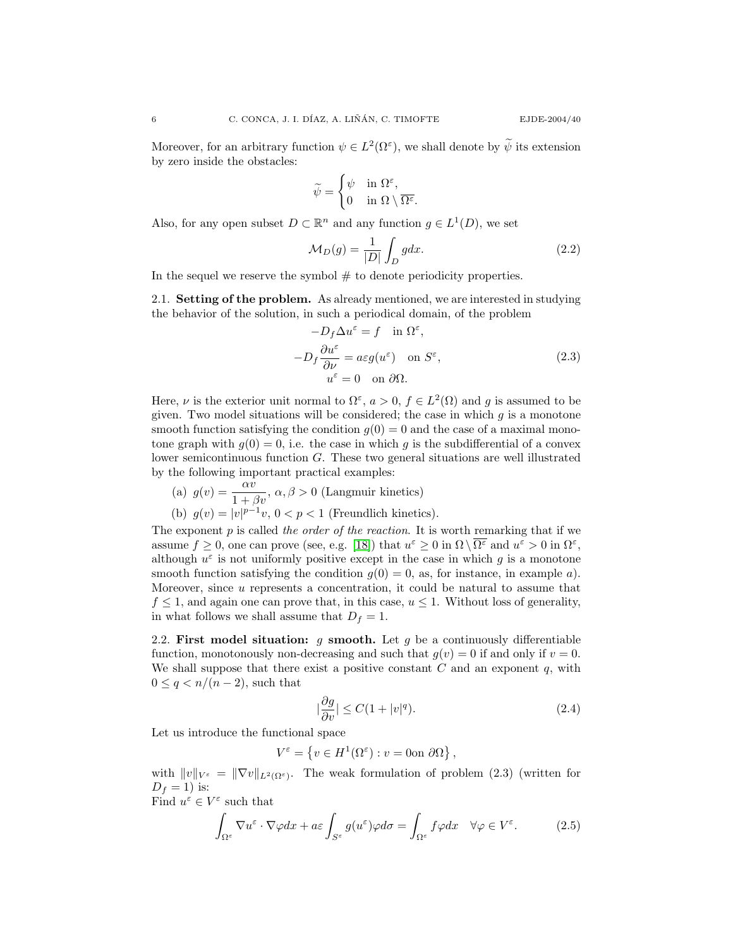Moreover, for an arbitrary function  $\psi \in L^2(\Omega^{\varepsilon})$ , we shall denote by  $\widetilde{\psi}$  its extension by zero inside the obstacles:

$$
\widetilde{\psi} = \begin{cases} \psi & \text{in } \Omega^{\varepsilon}, \\ 0 & \text{in } \Omega \setminus \overline{\Omega^{\varepsilon}} \end{cases}
$$

Also, for any open subset  $D \subset \mathbb{R}^n$  and any function  $g \in L^1(D)$ , we set

$$
\mathcal{M}_D(g) = \frac{1}{|D|} \int_D g dx.
$$
\n(2.2)

.

In the sequel we reserve the symbol  $#$  to denote periodicity properties.

2.1. Setting of the problem. As already mentioned, we are interested in studying the behavior of the solution, in such a periodical domain, of the problem

 $\epsilon$   $\sim$ 

$$
-D_f \Delta u^{\varepsilon} = f \quad \text{in } \Omega^{\varepsilon},
$$
  

$$
-D_f \frac{\partial u^{\varepsilon}}{\partial \nu} = a\varepsilon g(u^{\varepsilon}) \quad \text{on } S^{\varepsilon},
$$
  

$$
u^{\varepsilon} = 0 \quad \text{on } \partial \Omega.
$$
 (2.3)

Here,  $\nu$  is the exterior unit normal to  $\Omega^{\varepsilon}$ ,  $a > 0$ ,  $f \in L^{2}(\Omega)$  and g is assumed to be given. Two model situations will be considered; the case in which  $g$  is a monotone smooth function satisfying the condition  $g(0) = 0$  and the case of a maximal monotone graph with  $g(0) = 0$ , i.e. the case in which g is the subdifferential of a convex lower semicontinuous function G. These two general situations are well illustrated by the following important practical examples:

(a) 
$$
g(v) = \frac{\alpha v}{1 + \beta v}, \ \alpha, \beta > 0
$$
 (Langmuir kinetics)  
(b)  $g(v) = |v|^{p-1}v, \ 0 < p < 1$  (Freundlich kinetics).

The exponent  $p$  is called the order of the reaction. It is worth remarking that if we assume  $f \geq 0$ , one can prove (see, e.g. [\[18\]](#page-20-2)) that  $u^{\varepsilon} \geq 0$  in  $\Omega \setminus \overline{\Omega^{\varepsilon}}$  and  $u^{\varepsilon} > 0$  in  $\Omega^{\varepsilon}$ , although  $u^{\varepsilon}$  is not uniformly positive except in the case in which g is a monotone smooth function satisfying the condition  $g(0) = 0$ , as, for instance, in example a). Moreover, since u represents a concentration, it could be natural to assume that  $f \leq 1$ , and again one can prove that, in this case,  $u \leq 1$ . Without loss of generality, in what follows we shall assume that  $D_f = 1$ .

2.2. First model situation: g smooth. Let g be a continuously differentiable function, monotonously non-decreasing and such that  $g(v) = 0$  if and only if  $v = 0$ . We shall suppose that there exist a positive constant  $C$  and an exponent  $q$ , with  $0 \leq q < n/(n-2)$ , such that

$$
|\frac{\partial g}{\partial v}| \le C(1+|v|^q). \tag{2.4}
$$

Let us introduce the functional space

$$
V^{\varepsilon} = \left\{ v \in H^{1}(\Omega^{\varepsilon}) : v = 0 \text{ on } \partial \Omega \right\},\
$$

with  $||v||_{V^{\varepsilon}} = ||\nabla v||_{L^2(\Omega^{\varepsilon})}$ . The weak formulation of problem (2.3) (written for  $D_f = 1$ ) is:

Find  $u^{\varepsilon} \in V^{\varepsilon}$  such that

$$
\int_{\Omega^{\varepsilon}} \nabla u^{\varepsilon} \cdot \nabla \varphi dx + a\varepsilon \int_{S^{\varepsilon}} g(u^{\varepsilon}) \varphi d\sigma = \int_{\Omega^{\varepsilon}} f \varphi dx \quad \forall \varphi \in V^{\varepsilon}.
$$
 (2.5)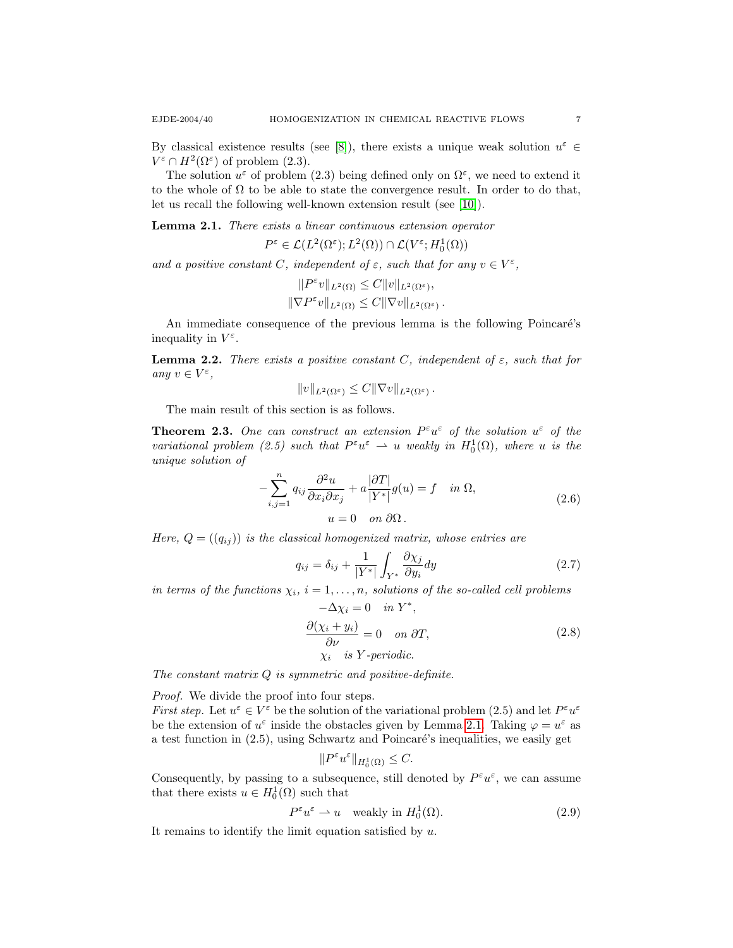By classical existence results (see [\[8\]](#page-20-5)), there exists a unique weak solution  $u^{\varepsilon} \in$  $V^{\varepsilon} \cap H^2(\Omega^{\varepsilon})$  of problem (2.3).

The solution  $u^{\varepsilon}$  of problem (2.3) being defined only on  $\Omega^{\varepsilon}$ , we need to extend it to the whole of  $\Omega$  to be able to state the convergence result. In order to do that, let us recall the following well-known extension result (see [\[10\]](#page-20-12)).

<span id="page-6-0"></span>Lemma 2.1. There exists a linear continuous extension operator

$$
P^{\varepsilon} \in \mathcal{L}(L^{2}(\Omega^{\varepsilon}); L^{2}(\Omega)) \cap \mathcal{L}(V^{\varepsilon}; H^{1}_{0}(\Omega))
$$

and a positive constant C, independent of  $\varepsilon$ , such that for any  $v \in V^{\varepsilon}$ ,

$$
||P^{\varepsilon}v||_{L^{2}(\Omega)} \leq C||v||_{L^{2}(\Omega^{\varepsilon})},
$$
  

$$
||\nabla P^{\varepsilon}v||_{L^{2}(\Omega)} \leq C||\nabla v||_{L^{2}(\Omega^{\varepsilon})}.
$$

An immediate consequence of the previous lemma is the following Poincaré's inequality in  $V^{\varepsilon}$ .

<span id="page-6-2"></span>**Lemma 2.2.** There exists a positive constant C, independent of  $\varepsilon$ , such that for any  $v \in V^{\varepsilon}$ ,

$$
||v||_{L^2(\Omega^{\varepsilon})} \leq C||\nabla v||_{L^2(\Omega^{\varepsilon})}.
$$

The main result of this section is as follows.

<span id="page-6-1"></span>**Theorem 2.3.** One can construct an extension  $P^{\varepsilon}u^{\varepsilon}$  of the solution  $u^{\varepsilon}$  of the variational problem (2.5) such that  $P^{\varepsilon}u^{\varepsilon} \rightharpoonup u$  weakly in  $H_0^1(\Omega)$ , where u is the unique solution of

$$
-\sum_{i,j=1}^{n} q_{ij} \frac{\partial^2 u}{\partial x_i \partial x_j} + a \frac{|\partial T|}{|Y^*|} g(u) = f \quad in \ \Omega,
$$
  

$$
u = 0 \quad on \ \partial \Omega.
$$
 (2.6)

Here,  $Q = (q_{ij})$  is the classical homogenized matrix, whose entries are

$$
q_{ij} = \delta_{ij} + \frac{1}{|Y^*|} \int_{Y^*} \frac{\partial \chi_j}{\partial y_i} dy \qquad (2.7)
$$

in terms of the functions  $\chi_i$ ,  $i = 1, \ldots, n$ , solutions of the so-called cell problems  $-\Delta \chi_i = 0$  in  $Y^*$ ,

$$
\frac{\partial(\chi_i + y_i)}{\partial \nu} = 0 \quad on \ \partial T,
$$
  
\n
$$
\chi_i \quad is \ Y-periodic.
$$
\n(2.8)

The constant matrix  $Q$  is symmetric and positive-definite.

Proof. We divide the proof into four steps.

*First step.* Let  $u^{\varepsilon} \in V^{\varepsilon}$  be the solution of the variational problem (2.5) and let  $P^{\varepsilon}u^{\varepsilon}$ be the extension of  $u^{\varepsilon}$  inside the obstacles given by Lemma [2.1.](#page-6-0) Taking  $\varphi = u^{\varepsilon}$  as a test function in  $(2.5)$ , using Schwartz and Poincaré's inequalities, we easily get

$$
||P^{\varepsilon}u^{\varepsilon}||_{H_0^1(\Omega)} \leq C.
$$

Consequently, by passing to a subsequence, still denoted by  $P^{\varepsilon}u^{\varepsilon}$ , we can assume that there exists  $u \in H_0^1(\Omega)$  such that

$$
P^{\varepsilon}u^{\varepsilon} \rightharpoonup u \quad \text{weakly in } H_0^1(\Omega). \tag{2.9}
$$

It remains to identify the limit equation satisfied by  $u$ .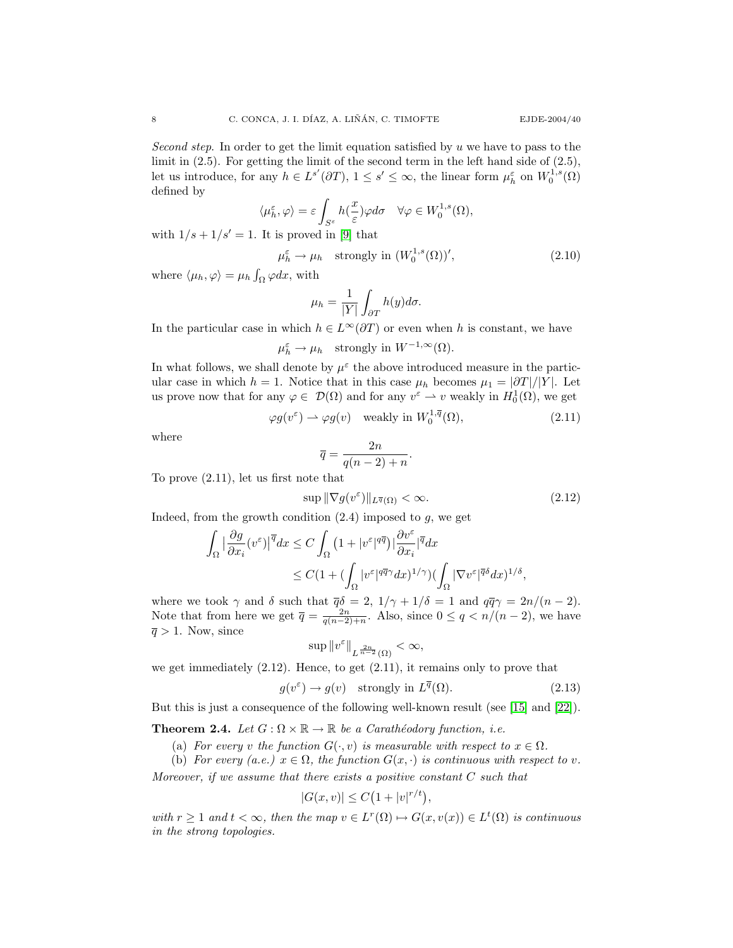Second step. In order to get the limit equation satisfied by  $u$  we have to pass to the limit in (2.5). For getting the limit of the second term in the left hand side of (2.5), let us introduce, for any  $h \in L^{s'}(\partial T)$ ,  $1 \le s' \le \infty$ , the linear form  $\mu_h^{\varepsilon}$  on  $W_0^{1,s}(\Omega)$ defined by

$$
\langle \mu_h^{\varepsilon}, \varphi \rangle = \varepsilon \int_{S^{\varepsilon}} h(\frac{x}{\varepsilon}) \varphi d\sigma \quad \forall \varphi \in W_0^{1,s}(\Omega),
$$

with  $1/s + 1/s' = 1$ . It is proved in [\[9\]](#page-20-13) that

$$
\mu_h^{\varepsilon} \to \mu_h \quad \text{strongly in } (W_0^{1,s}(\Omega))', \tag{2.10}
$$

where  $\langle \mu_h, \varphi \rangle = \mu_h \int_{\Omega} \varphi dx$ , with

$$
\mu_h = \frac{1}{|Y|} \int_{\partial T} h(y) d\sigma.
$$

In the particular case in which  $h \in L^{\infty}(\partial T)$  or even when h is constant, we have

$$
\mu_h^{\varepsilon} \to \mu_h \quad \text{strongly in } W^{-1,\infty}(\Omega).
$$

In what follows, we shall denote by  $\mu^{\varepsilon}$  the above introduced measure in the particular case in which  $h = 1$ . Notice that in this case  $\mu_h$  becomes  $\mu_1 = |\partial T|/|Y|$ . Let us prove now that for any  $\varphi \in \mathcal{D}(\Omega)$  and for any  $v^{\varepsilon} \to v$  weakly in  $H_0^1(\Omega)$ , we get

$$
\varphi g(v^{\varepsilon}) \rightharpoonup \varphi g(v) \quad \text{weakly in } W_0^{1,\overline{q}}(\Omega), \tag{2.11}
$$

where

$$
\overline{q} = \frac{2n}{q(n-2) + n}.
$$

To prove (2.11), let us first note that

$$
\sup \| \nabla g(v^{\varepsilon}) \|_{L^{\overline{q}}(\Omega)} < \infty.
$$
\n(2.12)

Indeed, from the growth condition  $(2.4)$  imposed to g, we get

$$
\int_{\Omega} \left| \frac{\partial g}{\partial x_i} (v^{\varepsilon}) \right|^{\overline{q}} dx \le C \int_{\Omega} \left( 1 + |v^{\varepsilon}|^{q\overline{q}} \right) \left| \frac{\partial v^{\varepsilon}}{\partial x_i} \right|^{\overline{q}} dx
$$
  

$$
\le C (1 + (\int_{\Omega} |v^{\varepsilon}|^{q\overline{q}\gamma} dx)^{1/\gamma}) (\int_{\Omega} |\nabla v^{\varepsilon}|^{\overline{q}\delta} dx)^{1/\delta},
$$

where we took  $\gamma$  and  $\delta$  such that  $\overline{q}\delta = 2$ ,  $1/\gamma + 1/\delta = 1$  and  $q\overline{q}\gamma = 2n/(n-2)$ . Note that from here we get  $\overline{q} = \frac{2n}{q(n-2)+n}$ . Also, since  $0 \leq q \leq n/(n-2)$ , we have  $\overline{q} > 1$ . Now, since

$$
\sup \|v^{\varepsilon}\|_{L^{\frac{2n}{n-2}}(\Omega)} < \infty,
$$

we get immediately (2.12). Hence, to get (2.11), it remains only to prove that

$$
g(v^{\varepsilon}) \to g(v) \quad \text{strongly in } L^{\overline{q}}(\Omega). \tag{2.13}
$$

But this is just a consequence of the following well-known result (see [\[15\]](#page-20-9) and [\[22\]](#page-20-6)).

<span id="page-7-0"></span>**Theorem 2.4.** Let  $G : \Omega \times \mathbb{R} \to \mathbb{R}$  be a Carathéodory function, i.e.

(a) For every v the function  $G(\cdot, v)$  is measurable with respect to  $x \in \Omega$ .

(b) For every (a.e.)  $x \in \Omega$ , the function  $G(x, \cdot)$  is continuous with respect to v.

Moreover, if we assume that there exists a positive constant  $C$  such that

$$
|G(x,v)| \leq C\left(1+|v|^{r/t}\right),\,
$$

with  $r \geq 1$  and  $t < \infty$ , then the map  $v \in L^r(\Omega) \mapsto G(x, v(x)) \in L^t(\Omega)$  is continuous in the strong topologies.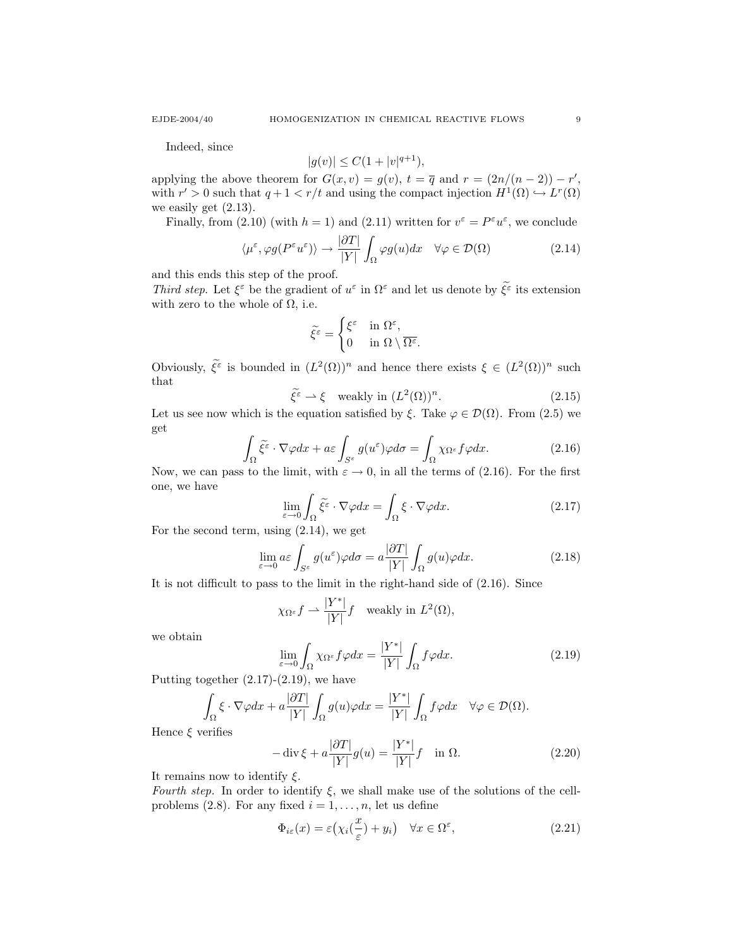Indeed, since

$$
|g(v)| \le C(1+|v|^{q+1}),
$$

applying the above theorem for  $G(x, v) = g(v)$ ,  $t = \overline{q}$  and  $r = (2n/(n-2)) - r'$ , with  $r' > 0$  such that  $q + 1 < r/t$  and using the compact injection  $H^1(\Omega) \hookrightarrow L^r(\Omega)$ we easily get  $(2.13)$ .

Finally, from (2.10) (with  $h = 1$ ) and (2.11) written for  $v^{\varepsilon} = P^{\varepsilon} u^{\varepsilon}$ , we conclude

$$
\langle \mu^{\varepsilon}, \varphi g(P^{\varepsilon} u^{\varepsilon}) \rangle \to \frac{|\partial T|}{|Y|} \int_{\Omega} \varphi g(u) dx \quad \forall \varphi \in \mathcal{D}(\Omega)
$$
 (2.14)

and this ends this step of the proof.

Third step. Let  $\xi^{\varepsilon}$  be the gradient of  $u^{\varepsilon}$  in  $\Omega^{\varepsilon}$  and let us denote by  $\xi^{\varepsilon}$  its extension with zero to the whole of  $\Omega$ , i.e.

$$
\widetilde{\xi^{\varepsilon}} = \begin{cases} \xi^{\varepsilon} & \text{in } \Omega^{\varepsilon}, \\ 0 & \text{in } \Omega \setminus \overline{\Omega^{\varepsilon}}. \end{cases}
$$

Obviously,  $\tilde{\xi}^{\varepsilon}$  is bounded in  $(L^2(\Omega))^n$  and hence there exists  $\xi \in (L^2(\Omega))^n$  such that

$$
\tilde{\xi}^{\tilde{\varepsilon}} \rightharpoonup \xi \quad \text{weakly in } (L^2(\Omega))^n. \tag{2.15}
$$

Let us see now which is the equation satisfied by  $\xi$ . Take  $\varphi \in \mathcal{D}(\Omega)$ . From (2.5) we get

$$
\int_{\Omega} \tilde{\xi}^{\varepsilon} \cdot \nabla \varphi dx + a\varepsilon \int_{S^{\varepsilon}} g(u^{\varepsilon}) \varphi d\sigma = \int_{\Omega} \chi_{\Omega^{\varepsilon}} f \varphi dx.
$$
\n(2.16)

Now, we can pass to the limit, with  $\varepsilon \to 0$ , in all the terms of (2.16). For the first one, we have

$$
\lim_{\varepsilon \to 0} \int_{\Omega} \tilde{\xi}^{\varepsilon} \cdot \nabla \varphi dx = \int_{\Omega} \xi \cdot \nabla \varphi dx.
$$
\n(2.17)

For the second term, using (2.14), we get

$$
\lim_{\varepsilon \to 0} a\varepsilon \int_{S^{\varepsilon}} g(u^{\varepsilon}) \varphi d\sigma = a \frac{|\partial T|}{|Y|} \int_{\Omega} g(u) \varphi dx.
$$
 (2.18)

It is not difficult to pass to the limit in the right-hand side of (2.16). Since

$$
\chi_{\Omega^{\varepsilon}} f \rightharpoonup \frac{|Y^*|}{|Y|} f
$$
 weakly in  $L^2(\Omega)$ ,

we obtain

$$
\lim_{\varepsilon \to 0} \int_{\Omega} \chi_{\Omega^{\varepsilon}} f \varphi dx = \frac{|Y^*|}{|Y|} \int_{\Omega} f \varphi dx.
$$
\n(2.19)

Putting together  $(2.17)-(2.19)$ , we have

$$
\int_{\Omega} \xi \cdot \nabla \varphi dx + a \frac{|\partial T|}{|Y|} \int_{\Omega} g(u) \varphi dx = \frac{|Y^*|}{|Y|} \int_{\Omega} f \varphi dx \quad \forall \varphi \in \mathcal{D}(\Omega).
$$

Hence  $\xi$  verifies

$$
-\operatorname{div}\xi + a\frac{|\partial T|}{|Y|}g(u) = \frac{|Y^*|}{|Y|}f \quad \text{in } \Omega.
$$
 (2.20)

It remains now to identify  $\xi$ .

Fourth step. In order to identify  $\xi$ , we shall make use of the solutions of the cellproblems (2.8). For any fixed  $i = 1, \ldots, n$ , let us define

$$
\Phi_{i\varepsilon}(x) = \varepsilon \big(\chi_i(\frac{x}{\varepsilon}) + y_i\big) \quad \forall x \in \Omega^{\varepsilon},\tag{2.21}
$$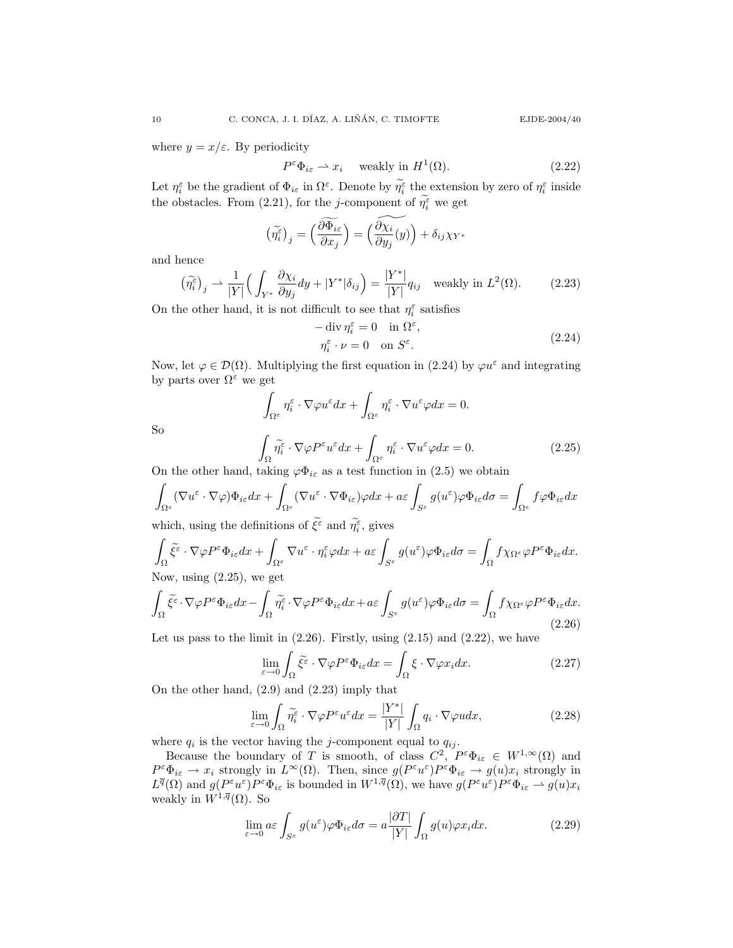where  $y = x/\varepsilon$ . By periodicity

$$
P^{\varepsilon} \Phi_{i\varepsilon} \rightharpoonup x_i \quad \text{ weakly in } H^1(\Omega). \tag{2.22}
$$

Let  $\eta_i^{\varepsilon}$  be the gradient of  $\Phi_{i\varepsilon}$  in  $\Omega^{\varepsilon}$ . Denote by  $\widetilde{\eta}_i^{\varepsilon}$  the extension by zero of  $\eta_i^{\varepsilon}$  inside the obstacles. From (2.21), for the *j*-component of  $\tilde{\eta}_i^{\varepsilon}$  we get

$$
\left(\widetilde{\eta_{i}^{\varepsilon}}\right)_{j}=\left(\frac{\widetilde{\partial \Phi_{i\varepsilon}}}{\partial x_{j}}\right)=\left(\frac{\widetilde{\partial \chi_{i}}}{\partial y_{j}}(y)\right)+\delta_{ij}\chi_{Y^{*}}
$$

and hence

$$
\left(\widetilde{\eta_i^{\varepsilon}}\right)_j \rightharpoonup \frac{1}{|Y|} \left(\int_{Y^*} \frac{\partial \chi_i}{\partial y_j} dy + |Y^*| \delta_{ij}\right) = \frac{|Y^*|}{|Y|} q_{ij} \quad \text{weakly in } L^2(\Omega). \tag{2.23}
$$

On the other hand, it is not difficult to see that  $\eta_i^\varepsilon$  satisfies

$$
-\operatorname{div}\eta_i^{\varepsilon} = 0 \quad \text{in } \Omega^{\varepsilon},
$$
  

$$
\eta_i^{\varepsilon} \cdot \nu = 0 \quad \text{on } S^{\varepsilon}.
$$
 (2.24)

Now, let  $\varphi \in \mathcal{D}(\Omega)$ . Multiplying the first equation in (2.24) by  $\varphi u^{\varepsilon}$  and integrating by parts over  $\Omega^{\varepsilon}$  we get

$$
\int_{\Omega^{\varepsilon}} \eta_i^{\varepsilon} \cdot \nabla \varphi u^{\varepsilon} dx + \int_{\Omega^{\varepsilon}} \eta_i^{\varepsilon} \cdot \nabla u^{\varepsilon} \varphi dx = 0.
$$
\n
$$
\int_{\Omega} \widetilde{\eta}_i^{\varepsilon} \cdot \nabla \varphi P^{\varepsilon} u^{\varepsilon} dx + \int_{\Omega^{\varepsilon}} \eta_i^{\varepsilon} \cdot \nabla u^{\varepsilon} \varphi dx = 0.
$$
\n(2.25)

So

$$
\int_{\Omega} \tilde{\eta}_i^{\varepsilon} \cdot \nabla \varphi P^{\varepsilon} u^{\varepsilon} dx + \int_{\Omega^{\varepsilon}} \eta_i^{\varepsilon} \cdot \nabla u^{\varepsilon} \varphi dx = 0.
$$
\n(2.25)

On the other hand, taking  $\varphi \Phi_{i\epsilon}$  as a test function in (2.5) we obtain

$$
\int_{\Omega^{\varepsilon}} (\nabla u^{\varepsilon} \cdot \nabla \varphi) \Phi_{i\varepsilon} dx + \int_{\Omega^{\varepsilon}} (\nabla u^{\varepsilon} \cdot \nabla \Phi_{i\varepsilon}) \varphi dx + a\varepsilon \int_{S^{\varepsilon}} g(u^{\varepsilon}) \varphi \Phi_{i\varepsilon} d\sigma = \int_{\Omega^{\varepsilon}} f \varphi \Phi_{i\varepsilon} dx
$$

which, using the definitions of  $\xi^{\varepsilon}$  and  $\eta^{\varepsilon}_{i}$ , gives

$$
\int_{\Omega} \tilde{\xi}^{\varepsilon} \cdot \nabla \varphi P^{\varepsilon} \Phi_{i\varepsilon} dx + \int_{\Omega^{\varepsilon}} \nabla u^{\varepsilon} \cdot \eta_{i}^{\varepsilon} \varphi dx + a\varepsilon \int_{S^{\varepsilon}} g(u^{\varepsilon}) \varphi \Phi_{i\varepsilon} d\sigma = \int_{\Omega} f \chi_{\Omega^{\varepsilon}} \varphi P^{\varepsilon} \Phi_{i\varepsilon} dx.
$$
  
Now, using (2.25), we get

 $\nu$ , using (2.25), we

$$
\int_{\Omega} \tilde{\xi}^{\varepsilon} \cdot \nabla \varphi P^{\varepsilon} \Phi_{i\varepsilon} dx - \int_{\Omega} \tilde{\eta}^{\varepsilon}_i \cdot \nabla \varphi P^{\varepsilon} \Phi_{i\varepsilon} dx + a\varepsilon \int_{S^{\varepsilon}} g(u^{\varepsilon}) \varphi \Phi_{i\varepsilon} d\sigma = \int_{\Omega} f \chi_{\Omega^{\varepsilon}} \varphi P^{\varepsilon} \Phi_{i\varepsilon} dx.
$$
\n(2.26)

Let us pass to the limit in  $(2.26)$ . Firstly, using  $(2.15)$  and  $(2.22)$ , we have

$$
\lim_{\varepsilon \to 0} \int_{\Omega} \widetilde{\xi}^{\varepsilon} \cdot \nabla \varphi P^{\varepsilon} \Phi_{i\varepsilon} dx = \int_{\Omega} \xi \cdot \nabla \varphi x_i dx.
$$
\n(2.27)

On the other hand, (2.9) and (2.23) imply that

$$
\lim_{\varepsilon \to 0} \int_{\Omega} \widetilde{\eta}_{i}^{\varepsilon} \cdot \nabla \varphi P^{\varepsilon} u^{\varepsilon} dx = \frac{|Y^{*}|}{|Y|} \int_{\Omega} q_{i} \cdot \nabla \varphi u dx, \tag{2.28}
$$

where  $q_i$  is the vector having the j-component equal to  $q_{ij}$ .

Because the boundary of T is smooth, of class  $C^2$ ,  $P^{\varepsilon} \Phi_{i\varepsilon} \in W^{1,\infty}(\Omega)$  and  $P^{\varepsilon} \Phi_{i\varepsilon} \to x_i$  strongly in  $L^{\infty}(\Omega)$ . Then, since  $g(P^{\varepsilon} u^{\varepsilon}) P^{\varepsilon} \Phi_{i\varepsilon} \to g(u)x_i$  strongly in  $L^{\overline{q}}(\Omega)$  and  $g(P^{\varepsilon}u^{\varepsilon})P^{\varepsilon}\Phi_{i\varepsilon}$  is bounded in  $W^{1,\overline{q}}(\Omega)$ , we have  $g(P^{\varepsilon}u^{\varepsilon})P^{\varepsilon}\Phi_{i\varepsilon} \rightharpoonup g(u)x_i$ weakly in  $W^{1,\overline{q}}(\Omega)$ . So

$$
\lim_{\varepsilon \to 0} a\varepsilon \int_{S^{\varepsilon}} g(u^{\varepsilon}) \varphi \Phi_{i\varepsilon} d\sigma = a \frac{|\partial T|}{|Y|} \int_{\Omega} g(u) \varphi x_i dx.
$$
 (2.29)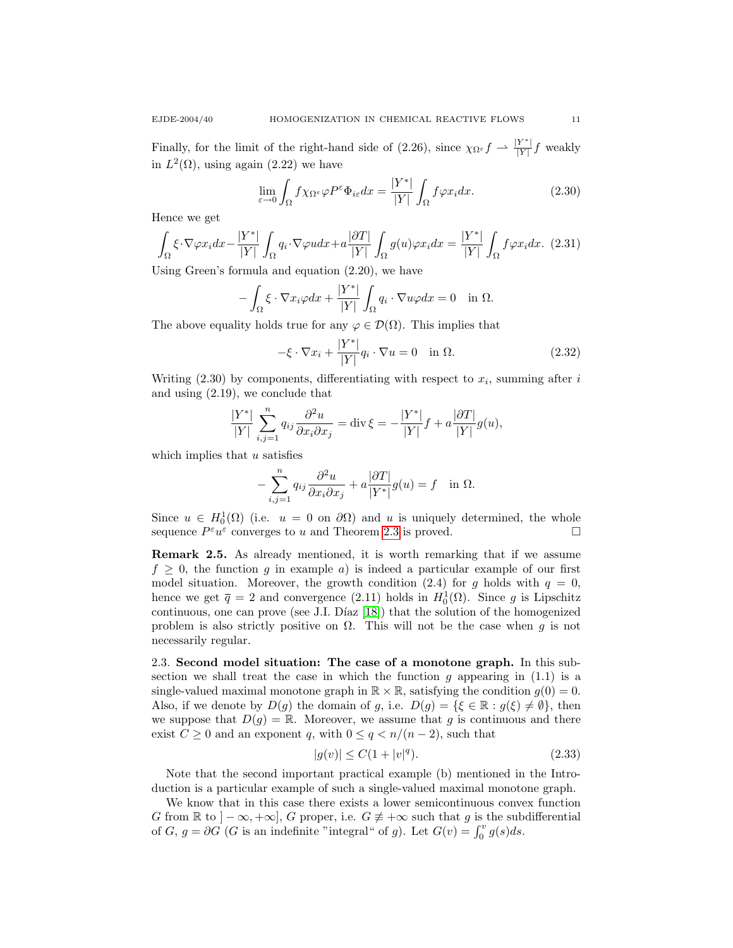Finally, for the limit of the right-hand side of (2.26), since  $\chi_{\Omega^{\varepsilon}} f \rightharpoonup \frac{|Y^*|}{|Y|}$  $\frac{Y}{|Y|} f$  weakly in  $L^2(\Omega)$ , using again  $(2.22)$  we have

$$
\lim_{\varepsilon \to 0} \int_{\Omega} f \chi_{\Omega^{\varepsilon}} \varphi P^{\varepsilon} \Phi_{i\varepsilon} dx = \frac{|Y^*|}{|Y|} \int_{\Omega} f \varphi x_i dx.
$$
 (2.30)

Hence we get

$$
\int_{\Omega} \xi \cdot \nabla \varphi x_i dx - \frac{|Y^*|}{|Y|} \int_{\Omega} q_i \cdot \nabla \varphi u dx + a \frac{|\partial T|}{|Y|} \int_{\Omega} g(u) \varphi x_i dx = \frac{|Y^*|}{|Y|} \int_{\Omega} f \varphi x_i dx. \tag{2.31}
$$

Using Green's formula and equation (2.20), we have

$$
-\int_{\Omega} \xi \cdot \nabla x_i \varphi dx + \frac{|Y^*|}{|Y|} \int_{\Omega} q_i \cdot \nabla u \varphi dx = 0 \quad \text{in } \Omega.
$$

The above equality holds true for any  $\varphi \in \mathcal{D}(\Omega)$ . This implies that

$$
-\xi \cdot \nabla x_i + \frac{|Y^*|}{|Y|} q_i \cdot \nabla u = 0 \quad \text{in } \Omega.
$$
 (2.32)

Writing  $(2.30)$  by components, differentiating with respect to  $x_i$ , summing after i and using (2.19), we conclude that

$$
\frac{|Y^*|}{|Y|} \sum_{i,j=1}^n q_{ij} \frac{\partial^2 u}{\partial x_i \partial x_j} = \text{div}\,\xi = -\frac{|Y^*|}{|Y|} f + a \frac{|\partial T|}{|Y|} g(u),
$$

which implies that  $u$  satisfies

$$
-\sum_{i,j=1}^n q_{ij} \frac{\partial^2 u}{\partial x_i \partial x_j} + a \frac{\partial T}{|Y^*|} g(u) = f \text{ in } \Omega.
$$

Since  $u \in H_0^1(\Omega)$  (i.e.  $u = 0$  on  $\partial\Omega$ ) and u is uniquely determined, the whole sequence  $P^{\varepsilon}u^{\varepsilon}$  converges to u and Theorem [2.3](#page-6-1) is proved.

Remark 2.5. As already mentioned, it is worth remarking that if we assume  $f \geq 0$ , the function g in example a) is indeed a particular example of our first model situation. Moreover, the growth condition (2.4) for g holds with  $q = 0$ , hence we get  $\bar{q} = 2$  and convergence (2.11) holds in  $H_0^1(\Omega)$ . Since g is Lipschitz continuous, one can prove (see J.I. Díaz  $[18]$ ) that the solution of the homogenized problem is also strictly positive on  $\Omega$ . This will not be the case when g is not necessarily regular.

2.3. Second model situation: The case of a monotone graph. In this subsection we shall treat the case in which the function  $g$  appearing in (1.1) is a single-valued maximal monotone graph in  $\mathbb{R} \times \mathbb{R}$ , satisfying the condition  $g(0) = 0$ . Also, if we denote by  $D(g)$  the domain of g, i.e.  $D(g) = {\{\xi \in \mathbb{R} : g(\xi) \neq \emptyset\}}$ , then we suppose that  $D(g) = \mathbb{R}$ . Moreover, we assume that g is continuous and there exist  $C \geq 0$  and an exponent q, with  $0 \leq q \leq n/(n-2)$ , such that

$$
|g(v)| \le C(1+|v|^q). \tag{2.33}
$$

Note that the second important practical example (b) mentioned in the Introduction is a particular example of such a single-valued maximal monotone graph.

We know that in this case there exists a lower semicontinuous convex function G from  $\mathbb R$  to  $]-\infty,+\infty]$ , G proper, i.e.  $G \neq +\infty$  such that g is the subdifferential of G,  $g = \partial G$  (G is an indefinite "integral" of g). Let  $G(v) = \int_0^v g(s)ds$ .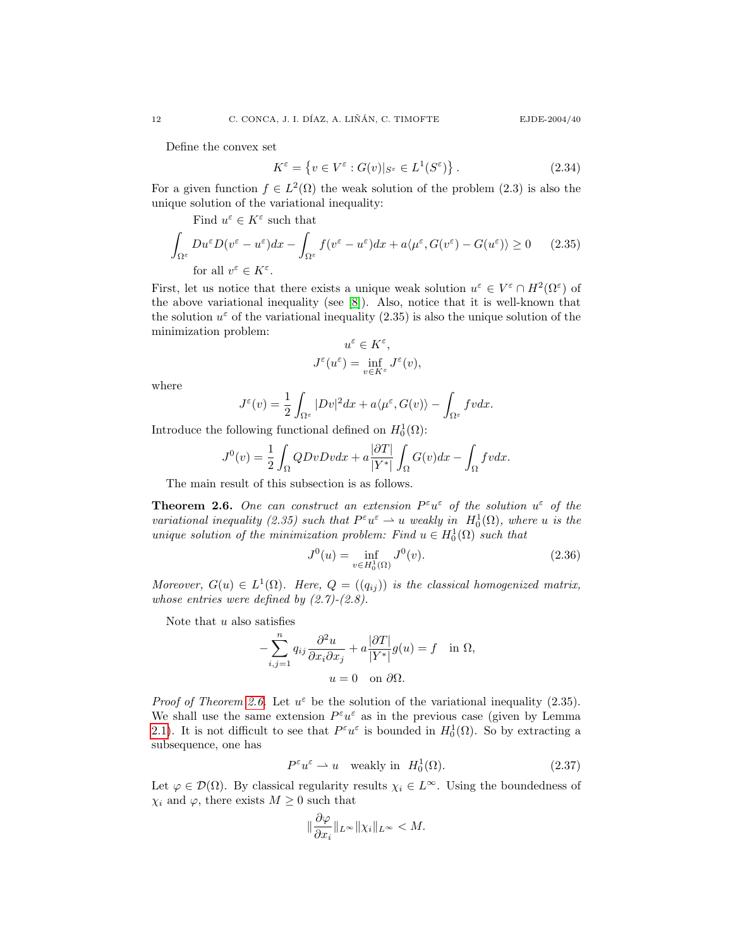Define the convex set

$$
K^{\varepsilon} = \left\{ v \in V^{\varepsilon} : G(v)|_{S^{\varepsilon}} \in L^{1}(S^{\varepsilon}) \right\}.
$$
 (2.34)

For a given function  $f \in L^2(\Omega)$  the weak solution of the problem (2.3) is also the unique solution of the variational inequality:

Find 
$$
u^{\varepsilon} \in K^{\varepsilon}
$$
 such that  
\n
$$
\int_{\Omega^{\varepsilon}} Du^{\varepsilon} D(v^{\varepsilon} - u^{\varepsilon}) dx - \int_{\Omega^{\varepsilon}} f(v^{\varepsilon} - u^{\varepsilon}) dx + a \langle \mu^{\varepsilon}, G(v^{\varepsilon}) - G(u^{\varepsilon}) \rangle \ge 0 \qquad (2.35)
$$
\nfor all  $v^{\varepsilon} \in K^{\varepsilon}$ .

First, let us notice that there exists a unique weak solution  $u^{\varepsilon} \in V^{\varepsilon} \cap H^{2}(\Omega^{\varepsilon})$  of the above variational inequality (see [\[8\]](#page-20-5)). Also, notice that it is well-known that the solution  $u^{\varepsilon}$  of the variational inequality (2.35) is also the unique solution of the minimization problem:

$$
u^{\varepsilon} \in K^{\varepsilon},
$$
  

$$
J^{\varepsilon}(u^{\varepsilon}) = \inf_{v \in K^{\varepsilon}} J^{\varepsilon}(v),
$$

where

$$
J^{\varepsilon}(v) = \frac{1}{2} \int_{\Omega^{\varepsilon}} |Dv|^2 dx + a \langle \mu^{\varepsilon}, G(v) \rangle - \int_{\Omega^{\varepsilon}} f v dx.
$$

Introduce the following functional defined on  $H_0^1(\Omega)$ :

$$
J^{0}(v) = \frac{1}{2} \int_{\Omega} QDvDvdx + a \frac{|\partial T|}{|Y^{*}|} \int_{\Omega} G(v)dx - \int_{\Omega} fvdx.
$$

The main result of this subsection is as follows.

<span id="page-11-0"></span>**Theorem 2.6.** One can construct an extension  $P^{\varepsilon}u^{\varepsilon}$  of the solution  $u^{\varepsilon}$  of the variational inequality (2.35) such that  $P^{\varepsilon}u^{\varepsilon} \rightharpoonup u$  weakly in  $H_0^1(\Omega)$ , where u is the unique solution of the minimization problem: Find  $u \in H_0^1(\Omega)$  such that

$$
J^{0}(u) = \inf_{v \in H_{0}^{1}(\Omega)} J^{0}(v).
$$
 (2.36)

Moreover,  $G(u) \in L^1(\Omega)$ . Here,  $Q = ((q_{ij}))$  is the classical homogenized matrix, whose entries were defined by  $(2.7)-(2.8)$ .

Note that  $u$  also satisfies

$$
-\sum_{i,j=1}^{n} q_{ij} \frac{\partial^2 u}{\partial x_i \partial x_j} + a \frac{|\partial T|}{|Y^*|} g(u) = f \text{ in } \Omega,
$$
  

$$
u = 0 \text{ on } \partial \Omega.
$$

*Proof of Theorem [2.6.](#page-11-0)* Let  $u^{\varepsilon}$  be the solution of the variational inequality (2.35). We shall use the same extension  $P^{\varepsilon}u^{\varepsilon}$  as in the previous case (given by Lemma [2.1\)](#page-6-0). It is not difficult to see that  $P^{\varepsilon}u^{\varepsilon}$  is bounded in  $H_0^1(\Omega)$ . So by extracting a subsequence, one has

$$
P^{\varepsilon}u^{\varepsilon} \rightharpoonup u \quad \text{weakly in} \quad H_0^1(\Omega). \tag{2.37}
$$

Let  $\varphi \in \mathcal{D}(\Omega)$ . By classical regularity results  $\chi_i \in L^{\infty}$ . Using the boundedness of  $\chi_i$  and  $\varphi$ , there exists  $M \geq 0$  such that

$$
\|\frac{\partial\varphi}{\partial x_i}\|_{L^\infty}\|\chi_i\|_{L^\infty} < M.
$$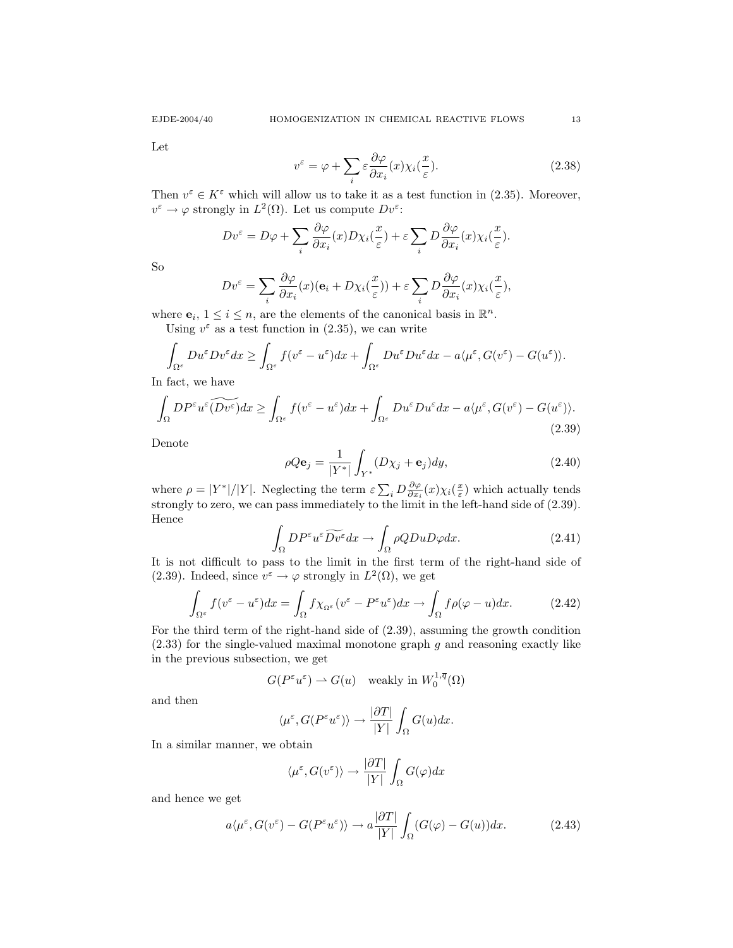Let

$$
v^{\varepsilon} = \varphi + \sum_{i} \varepsilon \frac{\partial \varphi}{\partial x_{i}}(x) \chi_{i}(\frac{x}{\varepsilon}).
$$
\n(2.38)

Then  $v^{\varepsilon} \in K^{\varepsilon}$  which will allow us to take it as a test function in (2.35). Moreover,  $v^{\varepsilon} \to \varphi$  strongly in  $L^2(\Omega)$ . Let us compute  $Dv^{\varepsilon}$ :

$$
Dv^{\varepsilon} = D\varphi + \sum_{i} \frac{\partial \varphi}{\partial x_{i}}(x) D\chi_{i}(\frac{x}{\varepsilon}) + \varepsilon \sum_{i} D \frac{\partial \varphi}{\partial x_{i}}(x) \chi_{i}(\frac{x}{\varepsilon}).
$$

So

$$
Dv^{\varepsilon} = \sum_{i} \frac{\partial \varphi}{\partial x_{i}}(x)(\mathbf{e}_{i} + D\chi_{i}(\frac{x}{\varepsilon})) + \varepsilon \sum_{i} D \frac{\partial \varphi}{\partial x_{i}}(x)\chi_{i}(\frac{x}{\varepsilon}),
$$

where  $\mathbf{e}_i, 1 \leq i \leq n$ , are the elements of the canonical basis in  $\mathbb{R}^n$ . Using  $v^{\varepsilon}$  as a test function in (2.35), we can write

$$
\int_{\Omega^{\varepsilon}} Du^{\varepsilon} D v^{\varepsilon} dx \geq \int_{\Omega^{\varepsilon}} f(v^{\varepsilon} - u^{\varepsilon}) dx + \int_{\Omega^{\varepsilon}} Du^{\varepsilon} D u^{\varepsilon} dx - a \langle \mu^{\varepsilon}, G(v^{\varepsilon}) - G(u^{\varepsilon}) \rangle.
$$

In fact, we have

$$
\int_{\Omega} DP^{\varepsilon} u^{\varepsilon} (\widetilde{Dv^{\varepsilon}}) dx \ge \int_{\Omega^{\varepsilon}} f(v^{\varepsilon} - u^{\varepsilon}) dx + \int_{\Omega^{\varepsilon}} Du^{\varepsilon} Du^{\varepsilon} dx - a \langle \mu^{\varepsilon}, G(v^{\varepsilon}) - G(u^{\varepsilon}) \rangle. \tag{2.39}
$$

Denote

$$
\rho Q \mathbf{e}_j = \frac{1}{|Y^*|} \int_{Y^*} (D\chi_j + \mathbf{e}_j) dy,
$$
\n(2.40)

where  $\rho = |Y^*|/|Y|$ . Neglecting the term  $\varepsilon \sum_i D \frac{\partial \varphi}{\partial x_i}(x) \chi_i(\frac{x}{\varepsilon})$  which actually tends strongly to zero, we can pass immediately to the limit in the left-hand side of (2.39). Hence

$$
\int_{\Omega} DP^{\varepsilon} u^{\varepsilon} \widetilde{Dv^{\varepsilon}} dx \to \int_{\Omega} \rho Q D u D \varphi dx. \tag{2.41}
$$

It is not difficult to pass to the limit in the first term of the right-hand side of (2.39). Indeed, since  $v^{\varepsilon} \to \varphi$  strongly in  $L^2(\Omega)$ , we get

$$
\int_{\Omega^{\varepsilon}} f(v^{\varepsilon} - u^{\varepsilon}) dx = \int_{\Omega} f \chi_{\Omega^{\varepsilon}} (v^{\varepsilon} - P^{\varepsilon} u^{\varepsilon}) dx \to \int_{\Omega} f \rho(\varphi - u) dx.
$$
 (2.42)

For the third term of the right-hand side of (2.39), assuming the growth condition  $(2.33)$  for the single-valued maximal monotone graph g and reasoning exactly like in the previous subsection, we get

$$
G(P^{\varepsilon}u^{\varepsilon}) \rightharpoonup G(u) \quad \text{weakly in } W_0^{1,\overline{q}}(\Omega)
$$

and then

$$
\langle \mu^{\varepsilon}, G(P^{\varepsilon} u^{\varepsilon}) \rangle \to \frac{|\partial T|}{|Y|} \int_{\Omega} G(u) dx.
$$

In a similar manner, we obtain

$$
\langle \mu^{\varepsilon}, G(v^{\varepsilon}) \rangle \to \frac{|\partial T|}{|Y|} \int_{\Omega} G(\varphi) dx
$$

and hence we get

$$
a\langle \mu^{\varepsilon}, G(v^{\varepsilon}) - G(P^{\varepsilon}u^{\varepsilon})\rangle \to a\frac{|\partial T|}{|Y|} \int_{\Omega} (G(\varphi) - G(u))dx.
$$
 (2.43)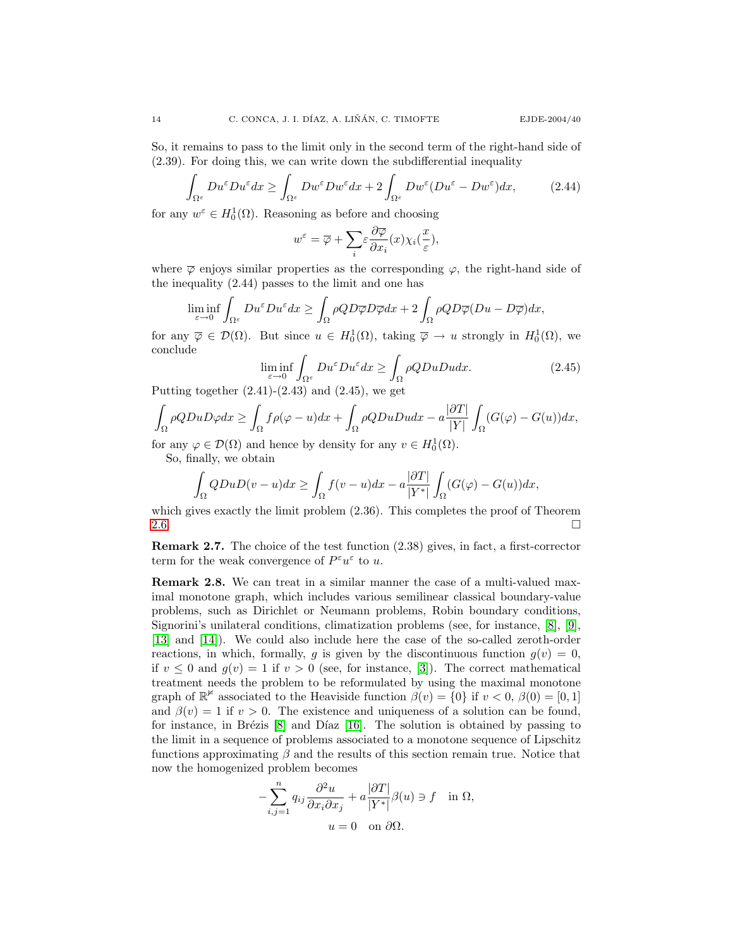So, it remains to pass to the limit only in the second term of the right-hand side of (2.39). For doing this, we can write down the subdifferential inequality

$$
\int_{\Omega^{\varepsilon}} Du^{\varepsilon} Du^{\varepsilon} dx \ge \int_{\Omega^{\varepsilon}} Dw^{\varepsilon} Dw^{\varepsilon} dx + 2 \int_{\Omega^{\varepsilon}} Dw^{\varepsilon} (Du^{\varepsilon} - Dw^{\varepsilon}) dx, \tag{2.44}
$$

for any  $w^{\varepsilon} \in H_0^1(\Omega)$ . Reasoning as before and choosing

$$
w^{\varepsilon} = \overline{\varphi} + \sum_{i} \varepsilon \frac{\partial \overline{\varphi}}{\partial x_{i}}(x) \chi_{i}(\frac{x}{\varepsilon}),
$$

where  $\overline{\varphi}$  enjoys similar properties as the corresponding  $\varphi$ , the right-hand side of the inequality (2.44) passes to the limit and one has

$$
\liminf_{\varepsilon \to 0} \int_{\Omega^{\varepsilon}} Du^{\varepsilon} Du^{\varepsilon} dx \ge \int_{\Omega} \rho Q D \overline{\varphi} D \overline{\varphi} dx + 2 \int_{\Omega} \rho Q D \overline{\varphi} (Du - D \overline{\varphi}) dx,
$$

for any  $\overline{\varphi} \in \mathcal{D}(\Omega)$ . But since  $u \in H_0^1(\Omega)$ , taking  $\overline{\varphi} \to u$  strongly in  $H_0^1(\Omega)$ , we conclude

$$
\liminf_{\varepsilon \to 0} \int_{\Omega^{\varepsilon}} Du^{\varepsilon} Du^{\varepsilon} dx \ge \int_{\Omega} \rho QDuDu dx.
$$
\n(2.45)

Putting together  $(2.41)-(2.43)$  and  $(2.45)$ , we get

$$
\int_{\Omega} \rho Q D u D \varphi dx \ge \int_{\Omega} f \rho(\varphi - u) dx + \int_{\Omega} \rho Q D u D u dx - a \frac{|\partial T|}{|Y|} \int_{\Omega} (G(\varphi) - G(u)) dx,
$$

for any  $\varphi \in \mathcal{D}(\Omega)$  and hence by density for any  $v \in H_0^1(\Omega)$ .

So, finally, we obtain

$$
\int_{\Omega} QDuD(v-u)dx \ge \int_{\Omega} f(v-u)dx - a\frac{|\partial T|}{|Y^*|} \int_{\Omega} (G(\varphi) - G(u))dx,
$$

which gives exactly the limit problem  $(2.36)$ . This completes the proof of Theorem [2.6.](#page-11-0)  $\Box$ 

Remark 2.7. The choice of the test function (2.38) gives, in fact, a first-corrector term for the weak convergence of  $P^{\varepsilon}u^{\varepsilon}$  to u.

<span id="page-13-0"></span>Remark 2.8. We can treat in a similar manner the case of a multi-valued maximal monotone graph, which includes various semilinear classical boundary-value problems, such as Dirichlet or Neumann problems, Robin boundary conditions, Signorini's unilateral conditions, climatization problems (see, for instance, [\[8\]](#page-20-5), [\[9\]](#page-20-13), [\[13\]](#page-20-14) and [\[14\]](#page-20-15)). We could also include here the case of the so-called zeroth-order reactions, in which, formally, g is given by the discontinuous function  $g(v) = 0$ , if  $v \leq 0$  and  $g(v) = 1$  if  $v > 0$  (see, for instance, [\[3\]](#page-19-3)). The correct mathematical treatment needs the problem to be reformulated by using the maximal monotone graph of  $\mathbb{R}^{\not\equiv}$  associated to the Heaviside function  $\beta(v) = \{0\}$  if  $v < 0$ ,  $\beta(0) = [0, 1]$ and  $\beta(v) = 1$  if  $v > 0$ . The existence and uniqueness of a solution can be found, for instance, in Brézis  $[8]$  and Díaz  $[16]$ . The solution is obtained by passing to the limit in a sequence of problems associated to a monotone sequence of Lipschitz functions approximating  $\beta$  and the results of this section remain true. Notice that now the homogenized problem becomes

$$
-\sum_{i,j=1}^n q_{ij} \frac{\partial^2 u}{\partial x_i \partial x_j} + a \frac{|\partial T|}{|Y^*|} \beta(u) \ni f \quad \text{in } \Omega,
$$
  

$$
u = 0 \quad \text{on } \partial \Omega.
$$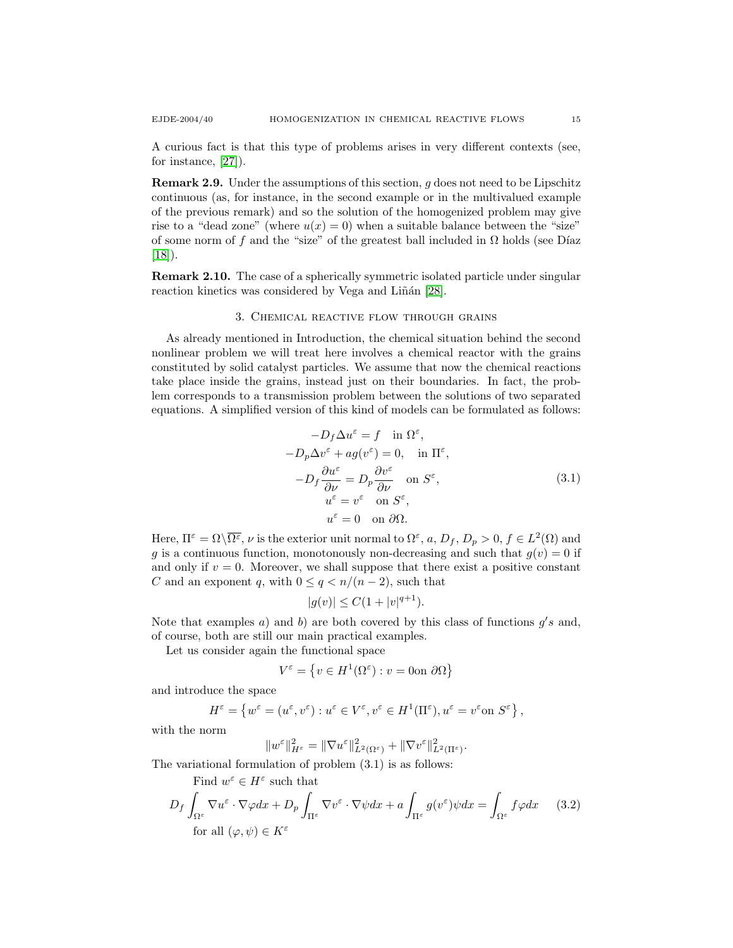A curious fact is that this type of problems arises in very different contexts (see, for instance, [\[27\]](#page-20-16)).

Remark 2.9. Under the assumptions of this section, g does not need to be Lipschitz continuous (as, for instance, in the second example or in the multivalued example of the previous remark) and so the solution of the homogenized problem may give rise to a "dead zone" (where  $u(x) = 0$ ) when a suitable balance between the "size" of some norm of f and the "size" of the greatest ball included in  $\Omega$  holds (see Díaz  $[18]$ .

Remark 2.10. The case of a spherically symmetric isolated particle under singular reaction kinetics was considered by Vega and Liñán [\[28\]](#page-20-17).

### 3. Chemical reactive flow through grains

As already mentioned in Introduction, the chemical situation behind the second nonlinear problem we will treat here involves a chemical reactor with the grains constituted by solid catalyst particles. We assume that now the chemical reactions take place inside the grains, instead just on their boundaries. In fact, the problem corresponds to a transmission problem between the solutions of two separated equations. A simplified version of this kind of models can be formulated as follows:

$$
-D_f \Delta u^{\varepsilon} = f \quad \text{in } \Omega^{\varepsilon},
$$
  

$$
-D_p \Delta v^{\varepsilon} + ag(v^{\varepsilon}) = 0, \quad \text{in } \Pi^{\varepsilon},
$$
  

$$
-D_f \frac{\partial u^{\varepsilon}}{\partial \nu} = D_p \frac{\partial v^{\varepsilon}}{\partial \nu} \quad \text{on } S^{\varepsilon},
$$
  

$$
u^{\varepsilon} = v^{\varepsilon} \quad \text{on } S^{\varepsilon},
$$
  

$$
u^{\varepsilon} = 0 \quad \text{on } \partial \Omega.
$$
  
(3.1)

Here,  $\Pi^{\varepsilon} = \Omega \setminus \overline{\Omega^{\varepsilon}}$ ,  $\nu$  is the exterior unit normal to  $\Omega^{\varepsilon}$ ,  $a, D_f, D_p > 0, f \in L^2(\Omega)$  and g is a continuous function, monotonously non-decreasing and such that  $g(v) = 0$  if and only if  $v = 0$ . Moreover, we shall suppose that there exist a positive constant C and an exponent q, with  $0 \leq q \leq n/(n-2)$ , such that

$$
|g(v)| \le C(1+|v|^{q+1}).
$$

Note that examples a) and b) are both covered by this class of functions  $g's$  and, of course, both are still our main practical examples.

Let us consider again the functional space

$$
V^{\varepsilon} = \left\{ v \in H^{1}(\Omega^{\varepsilon}) : v = 0 \text{ on } \partial \Omega \right\}
$$

and introduce the space

$$
H^{\varepsilon} = \left\{ w^{\varepsilon} = (u^{\varepsilon}, v^{\varepsilon}) : u^{\varepsilon} \in V^{\varepsilon}, v^{\varepsilon} \in H^1(\Pi^{\varepsilon}), u^{\varepsilon} = v^{\varepsilon} \text{on } S^{\varepsilon} \right\},\
$$

with the norm

$$
\|w^\varepsilon\|^2_{H^\varepsilon}=\|\nabla u^\varepsilon\|^2_{L^2(\Omega^\varepsilon)}+\|\nabla v^\varepsilon\|^2_{L^2(\Pi^\varepsilon)}.
$$

The variational formulation of problem (3.1) is as follows:

Find  $w^{\varepsilon} \in H^{\varepsilon}$  such that

$$
D_f \int_{\Omega^{\varepsilon}} \nabla u^{\varepsilon} \cdot \nabla \varphi dx + D_p \int_{\Pi^{\varepsilon}} \nabla v^{\varepsilon} \cdot \nabla \psi dx + a \int_{\Pi^{\varepsilon}} g(v^{\varepsilon}) \psi dx = \int_{\Omega^{\varepsilon}} f \varphi dx \qquad (3.2)
$$
  
for all  $(\varphi, \psi) \in K^{\varepsilon}$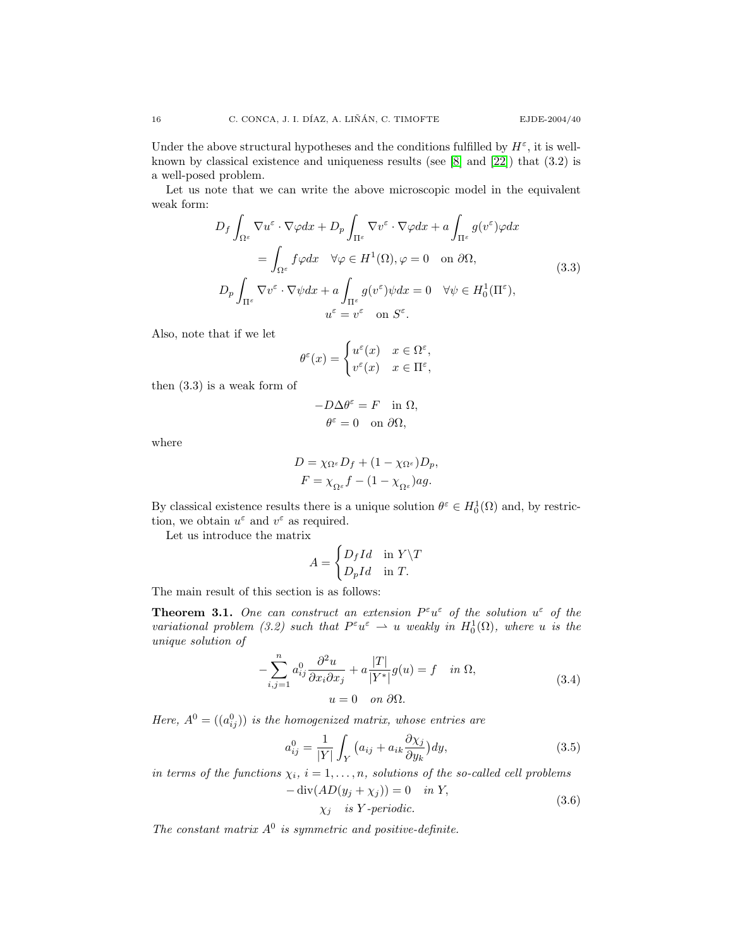Under the above structural hypotheses and the conditions fulfilled by  $H^{\varepsilon}$ , it is wellknown by classical existence and uniqueness results (see [\[8\]](#page-20-5) and [\[22\]](#page-20-6)) that (3.2) is a well-posed problem.

Let us note that we can write the above microscopic model in the equivalent weak form:

$$
D_f \int_{\Omega^{\varepsilon}} \nabla u^{\varepsilon} \cdot \nabla \varphi dx + D_p \int_{\Pi^{\varepsilon}} \nabla v^{\varepsilon} \cdot \nabla \varphi dx + a \int_{\Pi^{\varepsilon}} g(v^{\varepsilon}) \varphi dx
$$
  
\n
$$
= \int_{\Omega^{\varepsilon}} f \varphi dx \quad \forall \varphi \in H^1(\Omega), \varphi = 0 \quad \text{on } \partial\Omega,
$$
  
\n
$$
D_p \int_{\Pi^{\varepsilon}} \nabla v^{\varepsilon} \cdot \nabla \psi dx + a \int_{\Pi^{\varepsilon}} g(v^{\varepsilon}) \psi dx = 0 \quad \forall \psi \in H_0^1(\Pi^{\varepsilon}),
$$
  
\n
$$
u^{\varepsilon} = v^{\varepsilon} \quad \text{on } S^{\varepsilon}.
$$
 (3.3)

Also, note that if we let

$$
\theta^{\varepsilon}(x) = \begin{cases} u^{\varepsilon}(x) & x \in \Omega^{\varepsilon}, \\ v^{\varepsilon}(x) & x \in \Pi^{\varepsilon}, \end{cases}
$$

then (3.3) is a weak form of

$$
-D\Delta\theta^{\varepsilon} = F \quad \text{in } \Omega,
$$

$$
\theta^{\varepsilon} = 0 \quad \text{on } \partial\Omega,
$$

where

$$
\begin{aligned} D &= \chi_{\Omega^\varepsilon} D_f + (1-\chi_{\Omega^\varepsilon}) D_p, \\ F &= \chi_{\Omega^\varepsilon} f - (1-\chi_{\Omega^\varepsilon}) ag. \end{aligned}
$$

By classical existence results there is a unique solution  $\theta^{\varepsilon} \in H_0^1(\Omega)$  and, by restriction, we obtain  $u^{\varepsilon}$  and  $v^{\varepsilon}$  as required.

Let us introduce the matrix

$$
A = \begin{cases} D_f Id & \text{in } Y \backslash T \\ D_p Id & \text{in } T. \end{cases}
$$

<span id="page-15-0"></span>The main result of this section is as follows:

**Theorem 3.1.** One can construct an extension  $P^{\varepsilon}u^{\varepsilon}$  of the solution  $u^{\varepsilon}$  of the variational problem (3.2) such that  $P^{\varepsilon}u^{\varepsilon} \rightharpoonup u$  weakly in  $H_0^1(\Omega)$ , where u is the unique solution of

$$
-\sum_{i,j=1}^{n} a_{ij}^{0} \frac{\partial^{2} u}{\partial x_{i} \partial x_{j}} + a \frac{|T|}{|Y^{*}|} g(u) = f \quad in \ \Omega,
$$
  

$$
u = 0 \quad on \ \partial\Omega.
$$
 (3.4)

Here,  $A^0 = ((a_{ij}^0))$  is the homogenized matrix, whose entries are

$$
a_{ij}^0 = \frac{1}{|Y|} \int_Y \left( a_{ij} + a_{ik} \frac{\partial \chi_j}{\partial y_k} \right) dy,\tag{3.5}
$$

in terms of the functions  $\chi_i$ ,  $i = 1, \ldots, n$ , solutions of the so-called cell problems

$$
-\operatorname{div}(AD(y_j + \chi_j)) = 0 \quad in \ Y,
$$
  

$$
\chi_j \quad is \ Y-periodic.
$$
 (3.6)

The constant matrix  $A^0$  is symmetric and positive-definite.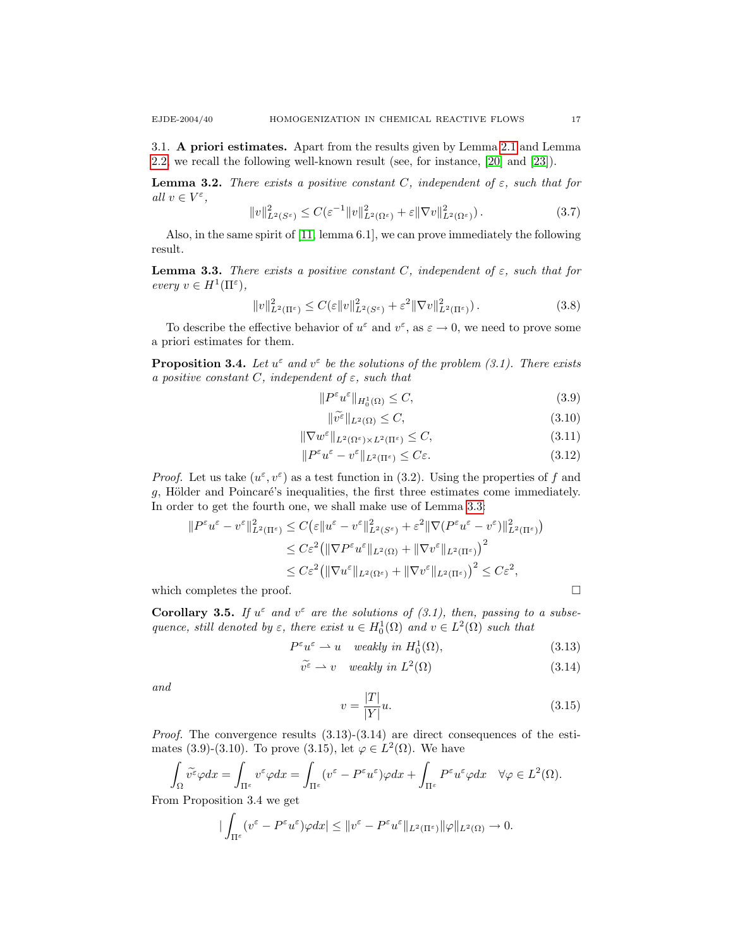3.1. A priori estimates. Apart from the results given by Lemma [2.1](#page-6-0) and Lemma [2.2,](#page-6-2) we recall the following well-known result (see, for instance, [\[20\]](#page-20-18) and [\[23\]](#page-20-19)).

**Lemma 3.2.** There exists a positive constant C, independent of  $\varepsilon$ , such that for all  $v \in V^{\varepsilon}$ ,

$$
||v||_{L^{2}(\mathcal{S}^{\varepsilon})}^{2} \leq C(\varepsilon^{-1}||v||_{L^{2}(\Omega^{\varepsilon})}^{2} + \varepsilon||\nabla v||_{L^{2}(\Omega^{\varepsilon})}^{2}).
$$
\n(3.7)

Also, in the same spirit of [\[11,](#page-20-20) lemma 6.1], we can prove immediately the following result.

<span id="page-16-0"></span>**Lemma 3.3.** There exists a positive constant C, independent of  $\varepsilon$ , such that for every  $v \in H^1(\Pi^{\varepsilon}),$ 

$$
||v||_{L^{2}(\Pi^{\varepsilon})}^{2} \leq C(\varepsilon||v||_{L^{2}(S^{\varepsilon})}^{2} + \varepsilon^{2}||\nabla v||_{L^{2}(\Pi^{\varepsilon})}^{2}).
$$
\n(3.8)

To describe the effective behavior of  $u^{\varepsilon}$  and  $v^{\varepsilon}$ , as  $\varepsilon \to 0$ , we need to prove some a priori estimates for them.

**Proposition 3.4.** Let  $u^{\varepsilon}$  and  $v^{\varepsilon}$  be the solutions of the problem (3.1). There exists a positive constant C, independent of  $\varepsilon$ , such that

$$
||P^{\varepsilon}u^{\varepsilon}||_{H_0^1(\Omega)} \le C,\t\t(3.9)
$$

$$
\|\widetilde{v^{\varepsilon}}\|_{L^{2}(\Omega)} \leq C,\tag{3.10}
$$

$$
\|\nabla w^{\varepsilon}\|_{L^{2}(\Omega^{\varepsilon})\times L^{2}(\Pi^{\varepsilon})} \leq C,
$$
\n(3.11)

$$
||P^{\varepsilon}u^{\varepsilon} - v^{\varepsilon}||_{L^{2}(\Pi^{\varepsilon})} \leq C\varepsilon.
$$
\n(3.12)

*Proof.* Let us take  $(u^{\varepsilon}, v^{\varepsilon})$  as a test function in (3.2). Using the properties of f and  $g$ , Hölder and Poincaré's inequalities, the first three estimates come immediately. In order to get the fourth one, we shall make use of Lemma [3.3:](#page-16-0)

$$
\|P^{\varepsilon}u^{\varepsilon} - v^{\varepsilon}\|_{L^{2}(\Pi^{\varepsilon})}^{2} \leq C(\varepsilon \|u^{\varepsilon} - v^{\varepsilon}\|_{L^{2}(S^{\varepsilon})}^{2} + \varepsilon^{2} \|\nabla (P^{\varepsilon}u^{\varepsilon} - v^{\varepsilon})\|_{L^{2}(\Pi^{\varepsilon})}^{2}
$$
  

$$
\leq C\varepsilon^{2} \big(\|\nabla P^{\varepsilon}u^{\varepsilon}\|_{L^{2}(\Omega)} + \|\nabla v^{\varepsilon}\|_{L^{2}(\Pi^{\varepsilon})}\big)^{2}
$$
  

$$
\leq C\varepsilon^{2} \big(\|\nabla u^{\varepsilon}\|_{L^{2}(\Omega^{\varepsilon})} + \|\nabla v^{\varepsilon}\|_{L^{2}(\Pi^{\varepsilon})}\big)^{2} \leq C\varepsilon^{2},
$$

which completes the proof.  $\Box$ 

**Corollary 3.5.** If  $u^{\varepsilon}$  and  $v^{\varepsilon}$  are the solutions of (3.1), then, passing to a subsequence, still denoted by  $\varepsilon$ , there exist  $u \in H_0^1(\Omega)$  and  $v \in L^2(\Omega)$  such that

$$
P^{\varepsilon}u^{\varepsilon} \rightharpoonup u \quad weakly \in H_0^1(\Omega), \tag{3.13}
$$

$$
\widetilde{v^{\varepsilon}} \rightharpoonup v \quad weakly \ in \ L^{2}(\Omega) \tag{3.14}
$$

and

$$
v = \frac{|T|}{|Y|}u.\tag{3.15}
$$

*Proof.* The convergence results  $(3.13)-(3.14)$  are direct consequences of the estimates (3.9)-(3.10). To prove (3.15), let  $\varphi \in L^2(\Omega)$ . We have

$$
\int_{\Omega} \widetilde{v}^{\varepsilon} \varphi dx = \int_{\Pi^{\varepsilon}} v^{\varepsilon} \varphi dx = \int_{\Pi^{\varepsilon}} (v^{\varepsilon} - P^{\varepsilon} u^{\varepsilon}) \varphi dx + \int_{\Pi^{\varepsilon}} P^{\varepsilon} u^{\varepsilon} \varphi dx \quad \forall \varphi \in L^{2}(\Omega).
$$

From Proposition 3.4 we get

$$
\big|\int_{\Pi^{\varepsilon}}(v^{\varepsilon}-P^{\varepsilon}u^{\varepsilon})\varphi dx\big|\leq \|v^{\varepsilon}-P^{\varepsilon}u^{\varepsilon}\|_{L^{2}(\Pi^{\varepsilon})}\|\varphi\|_{L^{2}(\Omega)}\to 0.
$$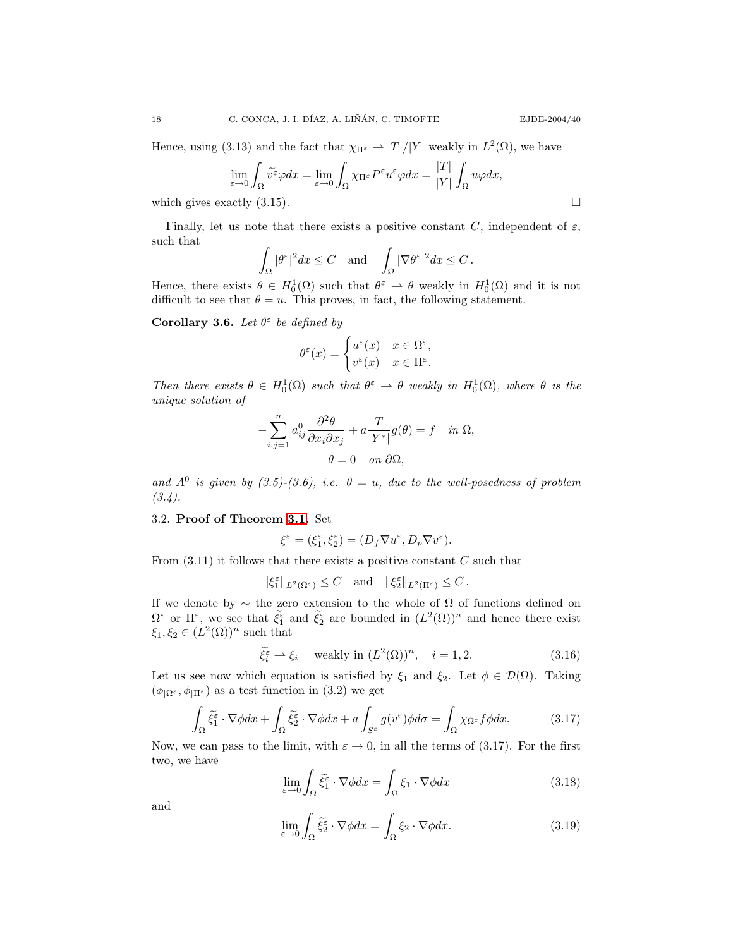Hence, using (3.13) and the fact that  $\chi_{\Pi^{\varepsilon}} \to |T|/|Y|$  weakly in  $L^2(\Omega)$ , we have

$$
\lim_{\varepsilon \to 0} \int_{\Omega} \widetilde{v^{\varepsilon}} \varphi dx = \lim_{\varepsilon \to 0} \int_{\Omega} \chi_{\Pi^{\varepsilon}} P^{\varepsilon} u^{\varepsilon} \varphi dx = \frac{|T|}{|Y|} \int_{\Omega} u \varphi dx,
$$

which gives exactly  $(3.15)$ .

Finally, let us note that there exists a positive constant C, independent of  $\varepsilon$ , such that

$$
\int_{\Omega} |\theta^{\varepsilon}|^2 dx \leq C \quad \text{and} \quad \int_{\Omega} |\nabla \theta^{\varepsilon}|^2 dx \leq C.
$$

Hence, there exists  $\theta \in H_0^1(\Omega)$  such that  $\theta^{\varepsilon} \to \theta$  weakly in  $H_0^1(\Omega)$  and it is not difficult to see that  $\theta = u$ . This proves, in fact, the following statement.

Corollary 3.6. Let  $\theta^{\varepsilon}$  be defined by

$$
\theta^\varepsilon(x)=\begin{cases}u^\varepsilon(x) & x\in\Omega^\varepsilon,\\v^\varepsilon(x) & x\in\Pi^\varepsilon.\end{cases}
$$

Then there exists  $\theta \in H_0^1(\Omega)$  such that  $\theta^{\varepsilon} \to \theta$  weakly in  $H_0^1(\Omega)$ , where  $\theta$  is the unique solution of

$$
-\sum_{i,j=1}^{n} a_{ij}^{0} \frac{\partial^{2} \theta}{\partial x_{i} \partial x_{j}} + a \frac{|T|}{|Y^{*}|} g(\theta) = f \quad in \ \Omega,
$$

$$
\theta = 0 \quad on \ \partial \Omega,
$$

and  $A^0$  is given by (3.5)-(3.6), i.e.  $\theta = u$ , due to the well-posedness of problem  $(3.4).$ 

# 3.2. Proof of Theorem [3.1.](#page-15-0) Set

$$
\xi^\varepsilon=(\xi_1^\varepsilon,\xi_2^\varepsilon)=(D_f\nabla u^\varepsilon,D_p\nabla v^\varepsilon).
$$

From  $(3.11)$  it follows that there exists a positive constant C such that

$$
\|\xi_1^{\varepsilon}\|_{L^2(\Omega^{\varepsilon})} \leq C \quad \text{and} \quad \|\xi_2^{\varepsilon}\|_{L^2(\Pi^{\varepsilon})} \leq C.
$$

If we denote by ∼ the zero extension to the whole of Ω of functions defined on  $\Omega^{\varepsilon}$  or  $\Pi^{\varepsilon}$ , we see that  $\tilde{\xi}_{2}^{\varepsilon}$  and  $\tilde{\xi}_{2}^{\varepsilon}$  are bounded in  $(L^{2}(\Omega))^{n}$  and hence there exist  $\xi_1, \xi_2 \in (L^2(\Omega))^n$  such that

$$
\tilde{\xi}_i^{\varepsilon} \rightharpoonup \xi_i \quad \text{ weakly in } (L^2(\Omega))^n, \quad i = 1, 2. \tag{3.16}
$$

Let us see now which equation is satisfied by  $\xi_1$  and  $\xi_2$ . Let  $\phi \in \mathcal{D}(\Omega)$ . Taking  $(\phi_{\vert \Omega^{\varepsilon}}, \phi_{\vert \Pi^{\varepsilon}})$  as a test function in (3.2) we get

$$
\int_{\Omega} \tilde{\xi}_1^{\varepsilon} \cdot \nabla \phi dx + \int_{\Omega} \tilde{\xi}_2^{\varepsilon} \cdot \nabla \phi dx + a \int_{S^{\varepsilon}} g(v^{\varepsilon}) \phi d\sigma = \int_{\Omega} \chi_{\Omega^{\varepsilon}} f \phi dx.
$$
 (3.17)

Now, we can pass to the limit, with  $\varepsilon \to 0$ , in all the terms of (3.17). For the first two, we have

$$
\lim_{\varepsilon \to 0} \int_{\Omega} \tilde{\xi}_1^{\varepsilon} \cdot \nabla \phi dx = \int_{\Omega} \xi_1 \cdot \nabla \phi dx \tag{3.18}
$$

and

$$
\lim_{\varepsilon \to 0} \int_{\Omega} \tilde{\xi}_2^{\varepsilon} \cdot \nabla \phi dx = \int_{\Omega} \xi_2 \cdot \nabla \phi dx.
$$
 (3.19)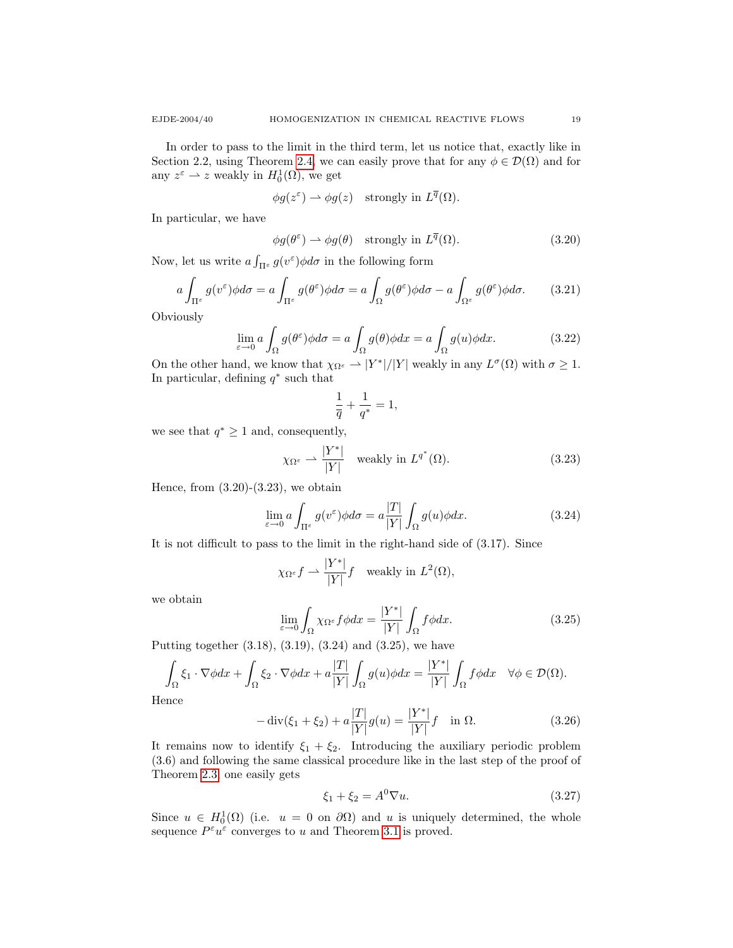In order to pass to the limit in the third term, let us notice that, exactly like in Section 2.2, using Theorem [2.4,](#page-7-0) we can easily prove that for any  $\phi \in \mathcal{D}(\Omega)$  and for any  $z^{\varepsilon} \rightharpoonup z$  weakly in  $H_0^1(\Omega)$ , we get

$$
\phi g(z^{\varepsilon}) \rightharpoonup \phi g(z)
$$
 strongly in  $L^{\overline{q}}(\Omega)$ .

In particular, we have

$$
\phi g(\theta^{\varepsilon}) \rightharpoonup \phi g(\theta) \quad \text{strongly in } L^{\overline{q}}(\Omega). \tag{3.20}
$$

Now, let us write  $a \int_{\Pi^{\varepsilon}} g(v^{\varepsilon}) \phi d\sigma$  in the following form

$$
a \int_{\Pi^{\varepsilon}} g(v^{\varepsilon}) \phi d\sigma = a \int_{\Pi^{\varepsilon}} g(\theta^{\varepsilon}) \phi d\sigma = a \int_{\Omega} g(\theta^{\varepsilon}) \phi d\sigma - a \int_{\Omega^{\varepsilon}} g(\theta^{\varepsilon}) \phi d\sigma. \tag{3.21}
$$

**Obviously** 

$$
\lim_{\varepsilon \to 0} a \int_{\Omega} g(\theta^{\varepsilon}) \phi d\sigma = a \int_{\Omega} g(\theta) \phi dx = a \int_{\Omega} g(u) \phi dx.
$$
 (3.22)

On the other hand, we know that  $\chi_{\Omega^{\varepsilon}} \to |Y^*|/|Y|$  weakly in any  $L^{\sigma}(\Omega)$  with  $\sigma \geq 1$ . In particular, defining  $q^*$  such that

$$
\frac{1}{\overline{q}} + \frac{1}{q^*} = 1,
$$

we see that  $q^* \geq 1$  and, consequently,

$$
\chi_{\Omega^{\varepsilon}} \rightharpoonup \frac{|Y^*|}{|Y|} \quad \text{weakly in } L^{q^*}(\Omega). \tag{3.23}
$$

Hence, from  $(3.20)-(3.23)$ , we obtain

$$
\lim_{\varepsilon \to 0} a \int_{\Pi^{\varepsilon}} g(v^{\varepsilon}) \phi d\sigma = a \frac{|T|}{|Y|} \int_{\Omega} g(u) \phi dx.
$$
 (3.24)

It is not difficult to pass to the limit in the right-hand side of (3.17). Since

$$
\chi_{\Omega^{\varepsilon}}f \rightharpoonup \frac{|Y^*|}{|Y|}f \quad \text{weakly in } L^2(\Omega),
$$

we obtain

$$
\lim_{\varepsilon \to 0} \int_{\Omega} \chi_{\Omega^{\varepsilon}} f \phi dx = \frac{|Y^*|}{|Y|} \int_{\Omega} f \phi dx.
$$
 (3.25)

Putting together (3.18), (3.19), (3.24) and (3.25), we have

$$
\int_{\Omega} \xi_1 \cdot \nabla \phi dx + \int_{\Omega} \xi_2 \cdot \nabla \phi dx + a \frac{|T|}{|Y|} \int_{\Omega} g(u) \phi dx = \frac{|Y^*|}{|Y|} \int_{\Omega} f \phi dx \quad \forall \phi \in \mathcal{D}(\Omega).
$$

Hence

$$
-\operatorname{div}(\xi_1 + \xi_2) + a \frac{|T|}{|Y|} g(u) = \frac{|Y^*|}{|Y|} f \quad \text{in } \Omega.
$$
 (3.26)

It remains now to identify  $\xi_1 + \xi_2$ . Introducing the auxiliary periodic problem (3.6) and following the same classical procedure like in the last step of the proof of Theorem [2.3,](#page-6-1) one easily gets

$$
\xi_1 + \xi_2 = A^0 \nabla u. \tag{3.27}
$$

Since  $u \in H_0^1(\Omega)$  (i.e.  $u = 0$  on  $\partial\Omega$ ) and u is uniquely determined, the whole sequence  $P^{\varepsilon}u^{\varepsilon}$  converges to u and Theorem [3.1](#page-15-0) is proved.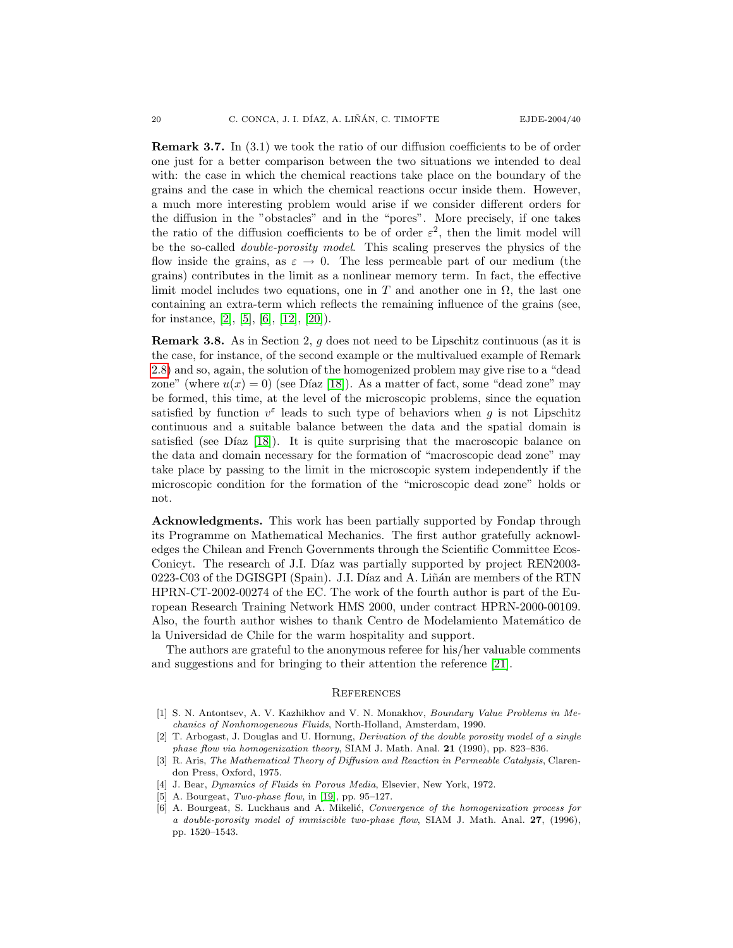Remark 3.7. In (3.1) we took the ratio of our diffusion coefficients to be of order one just for a better comparison between the two situations we intended to deal with: the case in which the chemical reactions take place on the boundary of the grains and the case in which the chemical reactions occur inside them. However, a much more interesting problem would arise if we consider different orders for the diffusion in the "obstacles" and in the "pores". More precisely, if one takes the ratio of the diffusion coefficients to be of order  $\varepsilon^2$ , then the limit model will be the so-called double-porosity model. This scaling preserves the physics of the flow inside the grains, as  $\varepsilon \to 0$ . The less permeable part of our medium (the grains) contributes in the limit as a nonlinear memory term. In fact, the effective limit model includes two equations, one in T and another one in  $\Omega$ , the last one containing an extra-term which reflects the remaining influence of the grains (see, for instance,  $[2]$ ,  $[5]$ ,  $[6]$ ,  $[12]$ ,  $[20]$ ).

**Remark 3.8.** As in Section 2, q does not need to be Lipschitz continuous (as it is the case, for instance, of the second example or the multivalued example of Remark [2.8\)](#page-13-0) and so, again, the solution of the homogenized problem may give rise to a "dead zone" (where  $u(x) = 0$ ) (see Díaz [\[18\]](#page-20-2)). As a matter of fact, some "dead zone" may be formed, this time, at the level of the microscopic problems, since the equation satisfied by function  $v^{\varepsilon}$  leads to such type of behaviors when g is not Lipschitz continuous and a suitable balance between the data and the spatial domain is satisfied (see Díaz  $[18]$ ). It is quite surprising that the macroscopic balance on the data and domain necessary for the formation of "macroscopic dead zone" may take place by passing to the limit in the microscopic system independently if the microscopic condition for the formation of the "microscopic dead zone" holds or not.

Acknowledgments. This work has been partially supported by Fondap through its Programme on Mathematical Mechanics. The first author gratefully acknowledges the Chilean and French Governments through the Scientific Committee Ecos-Conicyt. The research of J.I. Díaz was partially supported by project REN2003-0223-C03 of the DGISGPI (Spain). J.I. Díaz and A. Liñán are members of the RTN HPRN-CT-2002-00274 of the EC. The work of the fourth author is part of the European Research Training Network HMS 2000, under contract HPRN-2000-00109. Also, the fourth author wishes to thank Centro de Modelamiento Matem´atico de la Universidad de Chile for the warm hospitality and support.

The authors are grateful to the anonymous referee for his/her valuable comments and suggestions and for bringing to their attention the reference [\[21\]](#page-20-11).

### **REFERENCES**

- <span id="page-19-0"></span>[1] S. N. Antontsev, A. V. Kazhikhov and V. N. Monakhov, Boundary Value Problems in Mechanics of Nonhomogeneous Fluids, North-Holland, Amsterdam, 1990.
- <span id="page-19-4"></span>[2] T. Arbogast, J. Douglas and U. Hornung, Derivation of the double porosity model of a single phase flow via homogenization theory, SIAM J. Math. Anal. 21 (1990), pp. 823–836.
- <span id="page-19-3"></span>[3] R. Aris, The Mathematical Theory of Diffusion and Reaction in Permeable Catalysis, Clarendon Press, Oxford, 1975.
- <span id="page-19-1"></span>[4] J. Bear, *Dynamics of Fluids in Porous Media*, Elsevier, New York, 1972.
- <span id="page-19-5"></span>[5] A. Bourgeat, Two-phase flow, in [\[19\]](#page-20-4), pp. 95–127.
- <span id="page-19-2"></span>A. Bourgeat, S. Luckhaus and A. Mikelić, Convergence of the homogenization process for a double-porosity model of immiscible two-phase flow, SIAM J. Math. Anal. 27, (1996), pp. 1520–1543.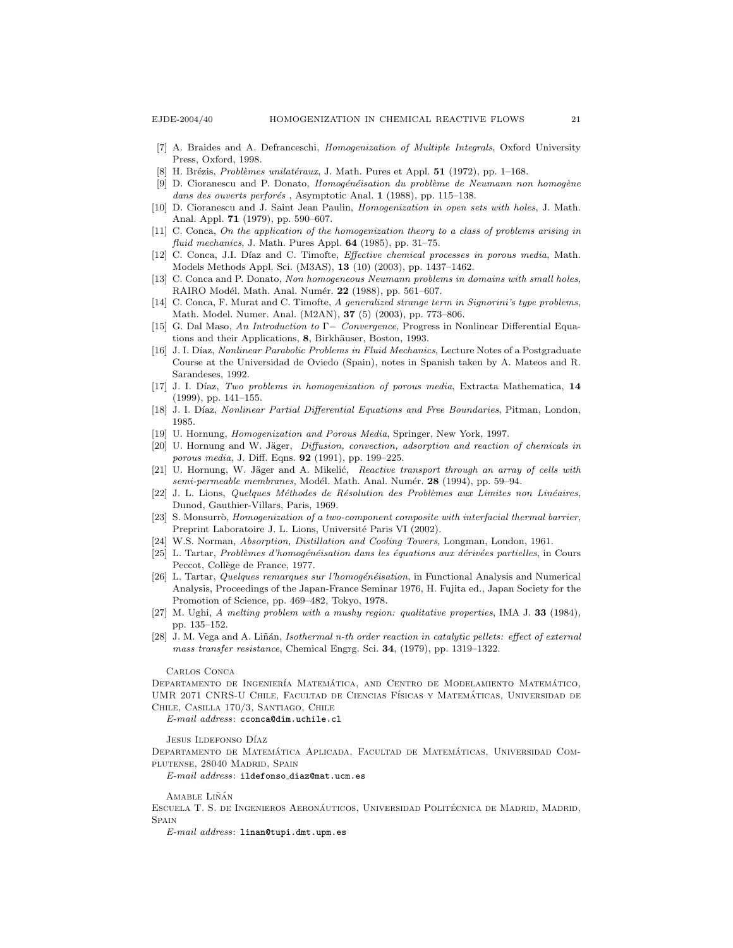- <span id="page-20-10"></span>[7] A. Braides and A. Defranceschi, Homogenization of Multiple Integrals, Oxford University Press, Oxford, 1998.
- <span id="page-20-5"></span>[8] H. Brézis, Problèmes unilatéraux, J. Math. Pures et Appl.  $51$  (1972), pp. 1–168.
- <span id="page-20-13"></span> $[9]$  D. Cioranescu and P. Donato, Homogénéisation du problème de Neumann non homogène dans des ouverts perforés, Asymptotic Anal. 1 (1988), pp. 115-138.
- <span id="page-20-12"></span>[10] D. Cioranescu and J. Saint Jean Paulin, Homogenization in open sets with holes, J. Math. Anal. Appl. 71 (1979), pp. 590–607.
- <span id="page-20-20"></span>[11] C. Conca, On the application of the homogenization theory to a class of problems arising in fluid mechanics, J. Math. Pures Appl. 64 (1985), pp. 31-75.
- <span id="page-20-21"></span>[12] C. Conca, J.I. Díaz and C. Timofte, *Effective chemical processes in porous media*, Math. Models Methods Appl. Sci. (M3AS), 13 (10) (2003), pp. 1437–1462.
- <span id="page-20-14"></span>[13] C. Conca and P. Donato, Non homogeneous Neumann problems in domains with small holes, RAIRO Modél. Math. Anal. Numér. 22 (1988), pp. 561-607.
- <span id="page-20-15"></span>[14] C. Conca, F. Murat and C. Timofte, A generalized strange term in Signorini's type problems, Math. Model. Numer. Anal. (M2AN), 37 (5) (2003), pp. 773–806.
- <span id="page-20-9"></span>[15] G. Dal Maso, An Introduction to Γ− Convergence, Progress in Nonlinear Differential Equations and their Applications, 8, Birkhäuser, Boston, 1993.
- <span id="page-20-0"></span>[16] J. I. Díaz, Nonlinear Parabolic Problems in Fluid Mechanics, Lecture Notes of a Postgraduate Course at the Universidad de Oviedo (Spain), notes in Spanish taken by A. Mateos and R. Sarandeses, 1992.
- <span id="page-20-1"></span>[17] J. I. Díaz, Two problems in homogenization of porous media, Extracta Mathematica, 14 (1999), pp. 141–155.
- <span id="page-20-2"></span>[18] J. I. Díaz, Nonlinear Partial Differential Equations and Free Boundaries, Pitman, London, 1985.
- <span id="page-20-4"></span>[19] U. Hornung, Homogenization and Porous Media, Springer, New York, 1997.
- <span id="page-20-18"></span>[20] U. Hornung and W. Jäger, *Diffusion, convection, adsorption and reaction of chemicals in* porous media, J. Diff. Eqns. 92 (1991), pp. 199–225.
- <span id="page-20-11"></span>[21] U. Hornung, W. Jäger and A. Mikelić, Reactive transport through an array of cells with semi-permeable membranes, Modél. Math. Anal. Numér. 28 (1994), pp. 59-94.
- <span id="page-20-6"></span>[22] J. L. Lions, Quelques Méthodes de Résolution des Problèmes aux Limites non Linéaires, Dunod, Gauthier-Villars, Paris, 1969.
- <span id="page-20-19"></span>[23] S. Monsurrò, Homogenization of a two-component composite with interfacial thermal barrier, Preprint Laboratoire J. L. Lions, Université Paris VI (2002).
- <span id="page-20-3"></span>[24] W.S. Norman, Absorption, Distillation and Cooling Towers, Longman, London, 1961.
- <span id="page-20-7"></span>[25] L. Tartar, Problèmes d'homogénéisation dans les équations aux dérivées partielles, in Cours Peccot, Collège de France, 1977.
- <span id="page-20-8"></span>[26] L. Tartar, Quelques remarques sur l'homogénéisation, in Functional Analysis and Numerical Analysis, Proceedings of the Japan-France Seminar 1976, H. Fujita ed., Japan Society for the Promotion of Science, pp. 469–482, Tokyo, 1978.
- <span id="page-20-16"></span>[27] M. Ughi, A melting problem with a mushy region: qualitative properties, IMA J. 33 (1984), pp. 135–152.
- <span id="page-20-17"></span>[28] J. M. Vega and A. Liñán, Isothermal n-th order reaction in catalytic pellets: effect of external mass transfer resistance, Chemical Engrg. Sci. 34, (1979), pp. 1319–1322.

#### Carlos Conca

DEPARTAMENTO DE INGENIERÍA MATEMÁTICA, AND CENTRO DE MODELAMIENTO MATEMÁTICO, UMR 2071 CNRS-U CHILE, FACULTAD DE CIENCIAS FÍSICAS Y MATEMÁTICAS, UNIVERSIDAD DE Chile, Casilla 170/3, Santiago, Chile

E-mail address: cconca@dim.uchile.cl

Jesus Ildefonso Díaz

DEPARTAMENTO DE MATEMÁTICA APLICADA, FACULTAD DE MATEMÁTICAS, UNIVERSIDAD COMplutense, 28040 Madrid, Spain

E-mail address: ildefonso diaz@mat.ucm.es

#### AMABLE LIÑÁN

ESCUELA T. S. DE INGENIEROS AERONÁUTICOS, UNIVERSIDAD POLITÉCNICA DE MADRID, MADRID, **SPAIN** 

E-mail address: linan@tupi.dmt.upm.es